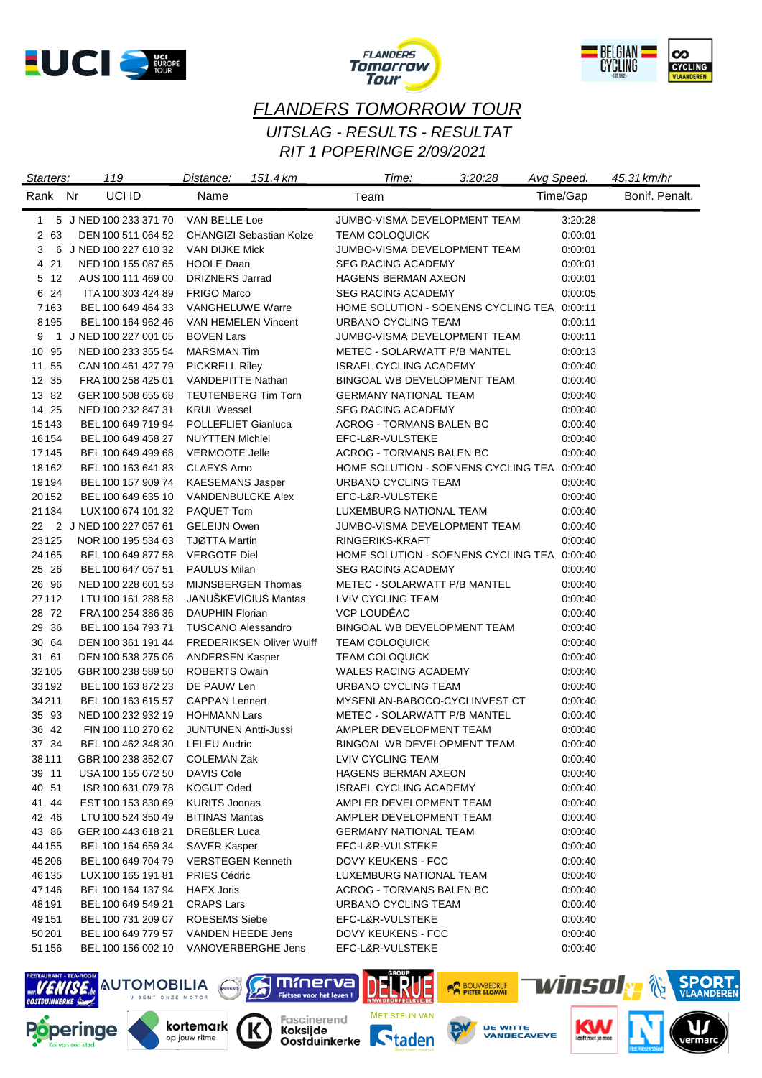





# *FLANDERS TOMORROW TOUR RIT 1 POPERINGE 2/09/2021 UITSLAG - RESULTS - RESULTAT*

| Starters: | 119                             | 151,4 km<br>Distance:           | Time:                                       | 3:20:28 | Avg Speed. | 45,31 km/hr    |
|-----------|---------------------------------|---------------------------------|---------------------------------------------|---------|------------|----------------|
| Rank Nr   | UCI ID                          | Name                            | Team                                        |         | Time/Gap   | Bonif. Penalt. |
| 1         | 5 J NED 100 233 371 70          | VAN BELLE Loe                   | JUMBO-VISMA DEVELOPMENT TEAM                |         | 3:20:28    |                |
| 2 63      | DEN 100 511 064 52              | <b>CHANGIZI Sebastian Kolze</b> | <b>TEAM COLOQUICK</b>                       |         | 0:00:01    |                |
| 3         | 6 J NED 100 227 610 32          | VAN DIJKE Mick                  | JUMBO-VISMA DEVELOPMENT TEAM                |         | 0:00:01    |                |
| 4 21      | NED 100 155 087 65              | <b>HOOLE Daan</b>               | <b>SEG RACING ACADEMY</b>                   |         | 0:00:01    |                |
| 5 12      | AUS 100 111 469 00              | <b>DRIZNERS Jarrad</b>          | HAGENS BERMAN AXEON                         |         | 0:00:01    |                |
| 6 24      | ITA 100 303 424 89              | <b>FRIGO Marco</b>              | <b>SEG RACING ACADEMY</b>                   |         | 0:00:05    |                |
| 7163      | BEL 100 649 464 33              | <b>VANGHELUWE Warre</b>         | HOME SOLUTION - SOENENS CYCLING TEA 0:00:11 |         |            |                |
| 8195      | BEL 100 164 962 46              | VAN HEMELEN Vincent             | URBANO CYCLING TEAM                         |         | 0:00:11    |                |
| 9         | 1 J NED 100 227 001 05          | <b>BOVEN Lars</b>               | JUMBO-VISMA DEVELOPMENT TEAM                |         | 0:00:11    |                |
| 10 95     | NED 100 233 355 54              | <b>MARSMAN Tim</b>              | <b>METEC - SOLARWATT P/B MANTEL</b>         |         | 0:00:13    |                |
| 11 55     | CAN 100 461 427 79              | <b>PICKRELL Riley</b>           | ISRAEL CYCLING ACADEMY                      |         | 0:00:40    |                |
| 12 35     | FRA 100 258 425 01              | <b>VANDEPITTE Nathan</b>        | BINGOAL WB DEVELOPMENT TEAM                 |         | 0:00:40    |                |
| 13 82     | GER 100 508 655 68              | <b>TEUTENBERG Tim Torn</b>      | <b>GERMANY NATIONAL TEAM</b>                |         | 0:00:40    |                |
| 14 25     | NED 100 232 847 31              | <b>KRUL Wessel</b>              | <b>SEG RACING ACADEMY</b>                   |         | 0:00:40    |                |
| 15143     | BEL 100 649 719 94              | POLLEFLIET Gianluca             | ACROG - TORMANS BALEN BC                    |         | 0:00:40    |                |
| 16 154    | BEL 100 649 458 27              | <b>NUYTTEN Michiel</b>          | EFC-L&R-VULSTEKE                            |         | 0:00:40    |                |
| 17145     | BEL 100 649 499 68              | <b>VERMOOTE Jelle</b>           | ACROG - TORMANS BALEN BC                    |         | 0:00:40    |                |
| 18162     | BEL 100 163 641 83              | <b>CLAEYS Arno</b>              | HOME SOLUTION - SOENENS CYCLING TEA 0:00:40 |         |            |                |
| 19194     | BEL 100 157 909 74              | <b>KAESEMANS Jasper</b>         | URBANO CYCLING TEAM                         |         | 0:00:40    |                |
| 20152     | BEL 100 649 635 10              | <b>VANDENBULCKE Alex</b>        | EFC-L&R-VULSTEKE                            |         | 0:00:40    |                |
| 21 1 34   | LUX 100 674 101 32              | PAQUET Tom                      | LUXEMBURG NATIONAL TEAM                     |         | 0:00:40    |                |
|           | 22 2 J NED 100 227 057 61       | <b>GELEIJN Owen</b>             | JUMBO-VISMA DEVELOPMENT TEAM                |         | 0:00:40    |                |
| 23125     | NOR 100 195 534 63              | <b>TJØTTA Martin</b>            | RINGERIKS-KRAFT                             |         | 0:00:40    |                |
| 24 1 65   | BEL 100 649 877 58              | <b>VERGOTE Diel</b>             | HOME SOLUTION - SOENENS CYCLING TEA 0:00:40 |         |            |                |
| 25 26     | BEL 100 647 057 51              | PAULUS Milan                    | <b>SEG RACING ACADEMY</b>                   |         | 0:00:40    |                |
| 26 96     | NED 100 228 601 53              | MIJNSBERGEN Thomas              | METEC - SOLARWATT P/B MANTEL                |         | 0:00:40    |                |
| 27112     | LTU 100 161 288 58              | <b>JANUSKEVICIUS Mantas</b>     | LVIV CYCLING TEAM                           |         | 0:00:40    |                |
| 28 72     | FRA 100 254 386 36              | <b>DAUPHIN Florian</b>          | <b>VCP LOUDEAC</b>                          |         | 0:00:40    |                |
| 29 36     | BEL 100 164 793 71              | <b>TUSCANO Alessandro</b>       | BINGOAL WB DEVELOPMENT TEAM                 |         | 0:00:40    |                |
| 30 64     | DEN 100 361 191 44              | <b>FREDERIKSEN Oliver Wulff</b> | <b>TEAM COLOQUICK</b>                       |         | 0:00:40    |                |
| 31 61     | DEN 100 538 275 06              | <b>ANDERSEN Kasper</b>          | TEAM COLOQUICK                              |         | 0:00:40    |                |
| 32 105    | GBR 100 238 589 50              | <b>ROBERTS Owain</b>            | <b>WALES RACING ACADEMY</b>                 |         | 0:00:40    |                |
| 33192     | BEL 100 163 872 23              | DE PAUW Len                     | URBANO CYCLING TEAM                         |         | 0:00:40    |                |
| 34211     | BEL 100 163 615 57              | <b>CAPPAN Lennert</b>           | MYSENLAN-BABOCO-CYCLINVEST CT               |         | 0:00:40    |                |
| 35 93     | NED 100 232 932 19              | <b>HOHMANN Lars</b>             | METEC - SOLARWATT P/B MANTEL                |         | 0:00:40    |                |
| 36 42     | FIN 100 110 270 62              | <b>JUNTUNEN Antti-Jussi</b>     | AMPLER DEVELOPMENT TEAM                     |         | 0:00:40    |                |
| 37 34     | BEL 100 462 348 30 LELEU Audric |                                 | BINGOAL WB DEVELOPMENT TEAM                 |         | 0:00:40    |                |
| 38 1 1 1  | GBR 100 238 352 07              | COLEMAN Zak                     | LVIV CYCLING TEAM                           |         | 0:00:40    |                |
| 39 11     | USA 100 155 072 50              | DAVIS Cole                      | <b>HAGENS BERMAN AXEON</b>                  |         | 0:00:40    |                |
| 40 51     | ISR 100 631 079 78              | KOGUT Oded                      | <b>ISRAEL CYCLING ACADEMY</b>               |         | 0:00:40    |                |
| 41 44     | EST 100 153 830 69              | <b>KURITS Joonas</b>            | AMPLER DEVELOPMENT TEAM                     |         | 0:00:40    |                |
| 42 46     | LTU 100 524 350 49              | <b>BITINAS Mantas</b>           | AMPLER DEVELOPMENT TEAM                     |         | 0:00:40    |                |
| 43 86     | GER 100 443 618 21              | <b>DREßLER Luca</b>             | <b>GERMANY NATIONAL TEAM</b>                |         | 0:00:40    |                |
| 44 155    | BEL 100 164 659 34              | <b>SAVER Kasper</b>             | EFC-L&R-VULSTEKE                            |         | 0:00:40    |                |
| 45 206    | BEL 100 649 704 79              | <b>VERSTEGEN Kenneth</b>        | DOVY KEUKENS - FCC                          |         | 0:00:40    |                |
| 46 135    | LUX 100 165 191 81              | <b>PRIES Cédric</b>             | LUXEMBURG NATIONAL TEAM                     |         | 0:00:40    |                |
| 47146     | BEL 100 164 137 94              | <b>HAEX Joris</b>               | ACROG - TORMANS BALEN BC                    |         | 0:00:40    |                |
| 48 191    | BEL 100 649 549 21              | <b>CRAPS Lars</b>               | URBANO CYCLING TEAM                         |         | 0:00:40    |                |
| 49 1 51   | BEL 100 731 209 07              | <b>ROESEMS Siebe</b>            | EFC-L&R-VULSTEKE                            |         | 0:00:40    |                |
| 50201     | BEL 100 649 779 57              | VANDEN HEEDE Jens               | DOVY KEUKENS - FCC                          |         | 0:00:40    |                |
| 51 1 56   | BEL 100 156 002 10              | VANOVERBERGHE Jens              | EFC-L&R-VULSTEKE                            |         | 0:00:40    |                |

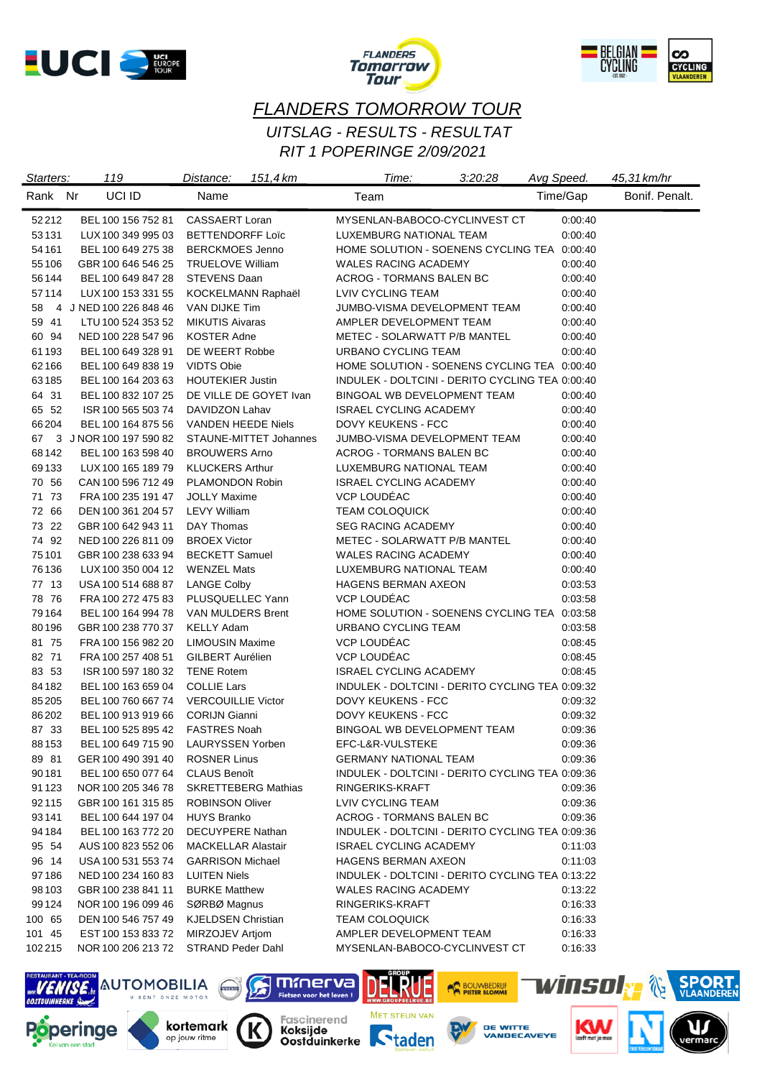





# *FLANDERS TOMORROW TOUR RIT 1 POPERINGE 2/09/2021 UITSLAG - RESULTS - RESULTAT*

| Starters: | 119                    | 151,4 km<br>Distance:               | Time:                                           | 3:20:28 | Avg Speed. | 45,31 km/hr    |
|-----------|------------------------|-------------------------------------|-------------------------------------------------|---------|------------|----------------|
| Rank Nr   | UCI ID                 | Name                                | Team                                            |         | Time/Gap   | Bonif. Penalt. |
| 52212     | BEL 100 156 752 81     | <b>CASSAERT Loran</b>               | MYSENLAN-BABOCO-CYCLINVEST CT                   |         | 0:00:40    |                |
| 53131     | LUX 100 349 995 03     | <b>BETTENDORFF Loïc</b>             | LUXEMBURG NATIONAL TEAM                         |         | 0:00:40    |                |
| 54 161    | BEL 100 649 275 38     | <b>BERCKMOES Jenno</b>              | HOME SOLUTION - SOENENS CYCLING TEA 0:00:40     |         |            |                |
| 55 106    | GBR 100 646 546 25     | <b>TRUELOVE William</b>             | <b>WALES RACING ACADEMY</b>                     |         | 0:00:40    |                |
| 56144     | BEL 100 649 847 28     | <b>STEVENS Daan</b>                 | ACROG - TORMANS BALEN BC                        |         | 0:00:40    |                |
| 57114     | LUX 100 153 331 55     | KOCKELMANN Raphaël                  | LVIV CYCLING TEAM                               |         | 0:00:40    |                |
| 58        | 4 J NED 100 226 848 46 | VAN DIJKE Tim                       | JUMBO-VISMA DEVELOPMENT TEAM                    |         | 0:00:40    |                |
| 59 41     | LTU 100 524 353 52     | <b>MIKUTIS Aivaras</b>              | AMPLER DEVELOPMENT TEAM                         |         | 0.00:40    |                |
| 60 94     | NED 100 228 547 96     | <b>KOSTER Adne</b>                  | METEC - SOLARWATT P/B MANTEL                    |         | 0:00:40    |                |
| 61 193    | BEL 100 649 328 91     | DE WEERT Robbe                      | URBANO CYCLING TEAM                             |         | 0:00:40    |                |
| 62 166    | BEL 100 649 838 19     | <b>VIDTS Obie</b>                   | HOME SOLUTION - SOENENS CYCLING TEA 0:00:40     |         |            |                |
| 63185     | BEL 100 164 203 63     | <b>HOUTEKIER Justin</b>             | INDULEK - DOLTCINI - DERITO CYCLING TEA 0:00:40 |         |            |                |
| 64 31     | BEL 100 832 107 25     | DE VILLE DE GOYET Ivan              | BINGOAL WB DEVELOPMENT TEAM                     |         | 0:00:40    |                |
| 65 52     | ISR 100 565 503 74     | DAVIDZON Lahav                      | <b>ISRAEL CYCLING ACADEMY</b>                   |         | 0:00:40    |                |
| 66204     | BEL 100 164 875 56     | VANDEN HEEDE Niels                  | DOVY KEUKENS - FCC                              |         | 0:00:40    |                |
| 67        | 3 J NOR 100 197 590 82 | STAUNE-MITTET Johannes              | JUMBO-VISMA DEVELOPMENT TEAM                    |         | 0:00:40    |                |
| 68142     | BEL 100 163 598 40     | <b>BROUWERS Arno</b>                | <b>ACROG - TORMANS BALEN BC</b>                 |         | 0:00:40    |                |
| 69133     | LUX 100 165 189 79     | <b>KLUCKERS Arthur</b>              | LUXEMBURG NATIONAL TEAM                         |         | 0:00:40    |                |
| 70 56     | CAN 100 596 712 49     | PLAMONDON Robin                     | <b>ISRAEL CYCLING ACADEMY</b>                   |         | 0:00:40    |                |
| 71 73     | FRA 100 235 191 47     | <b>JOLLY Maxime</b>                 | <b>VCP LOUDEAC</b>                              |         | 0:00:40    |                |
| 72 66     | DEN 100 361 204 57     | <b>LEVY William</b>                 | <b>TEAM COLOQUICK</b>                           |         | 0:00:40    |                |
| 73 22     | GBR 100 642 943 11     | DAY Thomas                          | SEG RACING ACADEMY                              |         | 0:00:40    |                |
| 74 92     | NED 100 226 811 09     | <b>BROEX Victor</b>                 | METEC - SOLARWATT P/B MANTEL                    |         | 0:00:40    |                |
| 75 101    | GBR 100 238 633 94     | <b>BECKETT Samuel</b>               | <b>WALES RACING ACADEMY</b>                     |         | 0:00:40    |                |
| 76 136    | LUX 100 350 004 12     | <b>WENZEL Mats</b>                  | LUXEMBURG NATIONAL TEAM                         |         | 0:00:40    |                |
| 77 13     | USA 100 514 688 87     | <b>LANGE Colby</b>                  | <b>HAGENS BERMAN AXEON</b>                      |         | 0:03:53    |                |
| 78 76     | FRA 100 272 475 83     | PLUSQUELLEC Yann                    | <b>VCP LOUDEAC</b>                              |         | 0:03:58    |                |
| 79 1 64   | BEL 100 164 994 78     | VAN MULDERS Brent                   | HOME SOLUTION - SOENENS CYCLING TEA 0:03:58     |         |            |                |
| 80196     | GBR 100 238 770 37     | <b>KELLY Adam</b>                   | URBANO CYCLING TEAM                             |         | 0:03:58    |                |
| 81 75     | FRA 100 156 982 20     | <b>LIMOUSIN Maxime</b>              | VCP LOUDÉAC                                     |         | 0:08:45    |                |
| 82 71     | FRA 100 257 408 51     | GILBERT Aurélien                    | VCP LOUDÉAC                                     |         | 0:08:45    |                |
| 83 53     | ISR 100 597 180 32     | <b>TENE Rotem</b>                   | <b>ISRAEL CYCLING ACADEMY</b>                   |         | 0:08:45    |                |
| 84182     | BEL 100 163 659 04     | <b>COLLIE Lars</b>                  | INDULEK - DOLTCINI - DERITO CYCLING TEA 0:09:32 |         |            |                |
| 85 205    | BEL 100 760 667 74     | <b>VERCOUILLIE Victor</b>           | DOVY KEUKENS - FCC                              |         | 0:09:32    |                |
| 86202     | BEL 100 913 919 66     | <b>CORIJN Gianni</b>                | DOVY KEUKENS - FCC                              |         | 0:09:32    |                |
| 87 33     | BEL 100 525 895 42     | <b>FASTRES Noah</b>                 | BINGOAL WB DEVELOPMENT TEAM                     |         | 0:09:36    |                |
| 88153     |                        | BEL 100 649 715 90 LAURYSSEN Yorben | EFC-L&R-VULSTEKE                                |         | 0:09:36    |                |
| 89 81     | GER 100 490 391 40     | <b>ROSNER Linus</b>                 | <b>GERMANY NATIONAL TEAM</b>                    |         | 0:09:36    |                |
| 90181     | BEL 100 650 077 64     | <b>CLAUS Benoît</b>                 | INDULEK - DOLTCINI - DERITO CYCLING TEA 0:09:36 |         |            |                |
| 91 1 23   | NOR 100 205 346 78     | <b>SKRETTEBERG Mathias</b>          | RINGERIKS-KRAFT                                 |         | 0:09:36    |                |
| 92115     | GBR 100 161 315 85     | <b>ROBINSON Oliver</b>              | LVIV CYCLING TEAM                               |         | 0:09:36    |                |
| 93141     | BEL 100 644 197 04     | <b>HUYS Branko</b>                  | <b>ACROG - TORMANS BALEN BC</b>                 |         | 0:09:36    |                |
| 94 184    | BEL 100 163 772 20     | <b>DECUYPERE Nathan</b>             | INDULEK - DOLTCINI - DERITO CYCLING TEA 0:09:36 |         |            |                |
| 95 54     | AUS 100 823 552 06     | <b>MACKELLAR Alastair</b>           | <b>ISRAEL CYCLING ACADEMY</b>                   |         | 0:11:03    |                |
| 96 14     | USA 100 531 553 74     | <b>GARRISON Michael</b>             | HAGENS BERMAN AXEON                             |         | 0:11:03    |                |
| 97186     | NED 100 234 160 83     | <b>LUITEN Niels</b>                 | INDULEK - DOLTCINI - DERITO CYCLING TEA 0:13:22 |         |            |                |
| 98 103    | GBR 100 238 841 11     | <b>BURKE Matthew</b>                | WALES RACING ACADEMY                            |         | 0:13:22    |                |
| 99124     | NOR 100 196 099 46     | SØRBØ Magnus                        | RINGERIKS-KRAFT                                 |         | 0.16:33    |                |
| 100 65    | DEN 100 546 757 49     | <b>KJELDSEN Christian</b>           | <b>TEAM COLOQUICK</b>                           |         | 0:16:33    |                |
| 101 45    | EST 100 153 833 72     | MIRZOJEV Artjom                     | AMPLER DEVELOPMENT TEAM                         |         | 0.16:33    |                |
| 102215    | NOR 100 206 213 72     | STRAND Peder Dahl                   | MYSENLAN-BABOCO-CYCLINVEST CT                   |         | 0:16:33    |                |
|           |                        |                                     |                                                 |         |            |                |

ELRUE

MET STEUN VAN

IJ

**POLYVBEDRUF** 



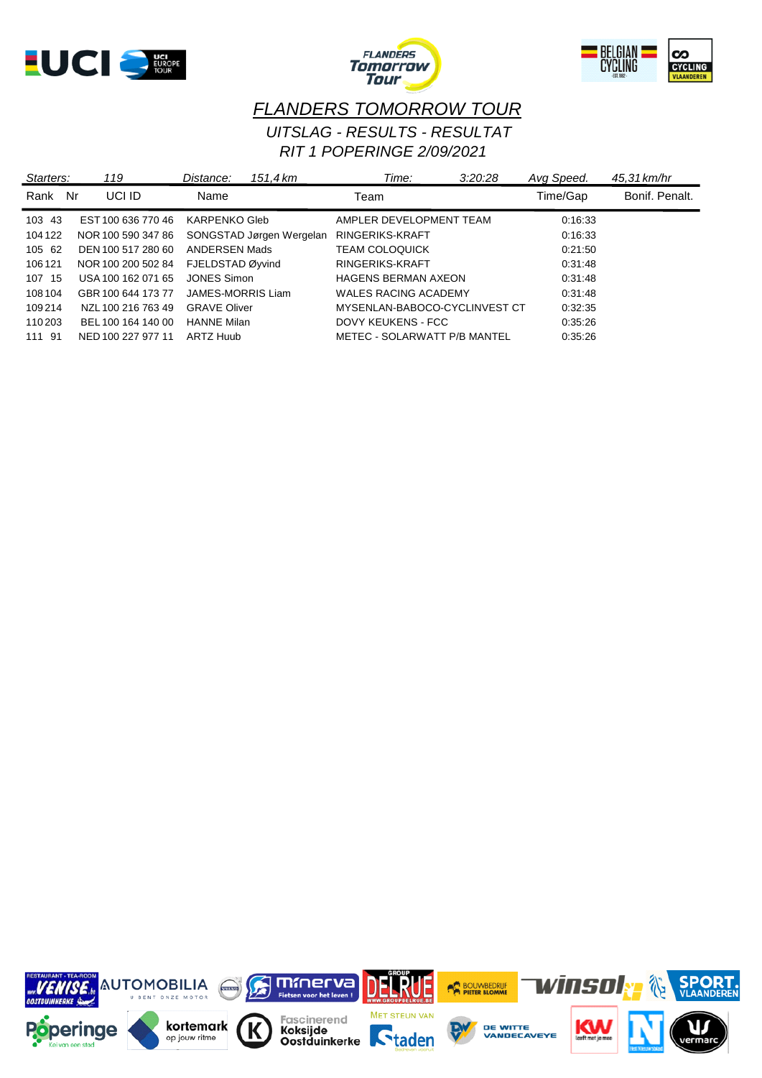





# *FLANDERS TOMORROW TOUR RIT 1 POPERINGE 2/09/2021 UITSLAG - RESULTS - RESULTAT*

| Starters: | 119                | Distance:           | 151.4 km                 | Time:                         | 3:20:28 | Avg Speed. | 45.31 km/hr    |
|-----------|--------------------|---------------------|--------------------------|-------------------------------|---------|------------|----------------|
| Rank      | UCI ID<br>Nr       | Name                |                          | Team                          |         | Time/Gap   | Bonif, Penalt. |
| 103 43    | EST 100 636 770 46 | KARPENKO Gleb       |                          | AMPLER DEVELOPMENT TEAM       |         | 0:16:33    |                |
| 104 122   | NOR 100 590 347 86 |                     | SONGSTAD Jørgen Wergelan | RINGERIKS-KRAFT               |         | 0:16:33    |                |
| 105 62    | DEN 100 517 280 60 | ANDERSEN Mads       |                          | <b>TEAM COLOQUICK</b>         |         | 0.21:50    |                |
| 106 121   | NOR 100 200 502 84 | FJELDSTAD Øyvind    |                          | RINGERIKS-KRAFT               |         | 0.31:48    |                |
| 107 15    | USA 100 162 071 65 | JONES Simon         |                          | <b>HAGENS BERMAN AXEON</b>    |         | 0.31:48    |                |
| 108 104   | GBR 100 644 173 77 | JAMES-MORRIS Liam   |                          | <b>WALES RACING ACADEMY</b>   |         | 0.31:48    |                |
| 109214    | NZL 100 216 763 49 | <b>GRAVE Oliver</b> |                          | MYSENLAN-BABOCO-CYCLINVEST CT |         | 0:32:35    |                |
| 110 203   | BEL 100 164 140 00 | <b>HANNE Milan</b>  |                          | DOVY KEUKENS - FCC            |         | 0.35:26    |                |
| 111 91    | NED 100 227 977 11 | ARTZ Huub           |                          | METEC - SOLARWATT P/B MANTEL  |         | 0.35:26    |                |

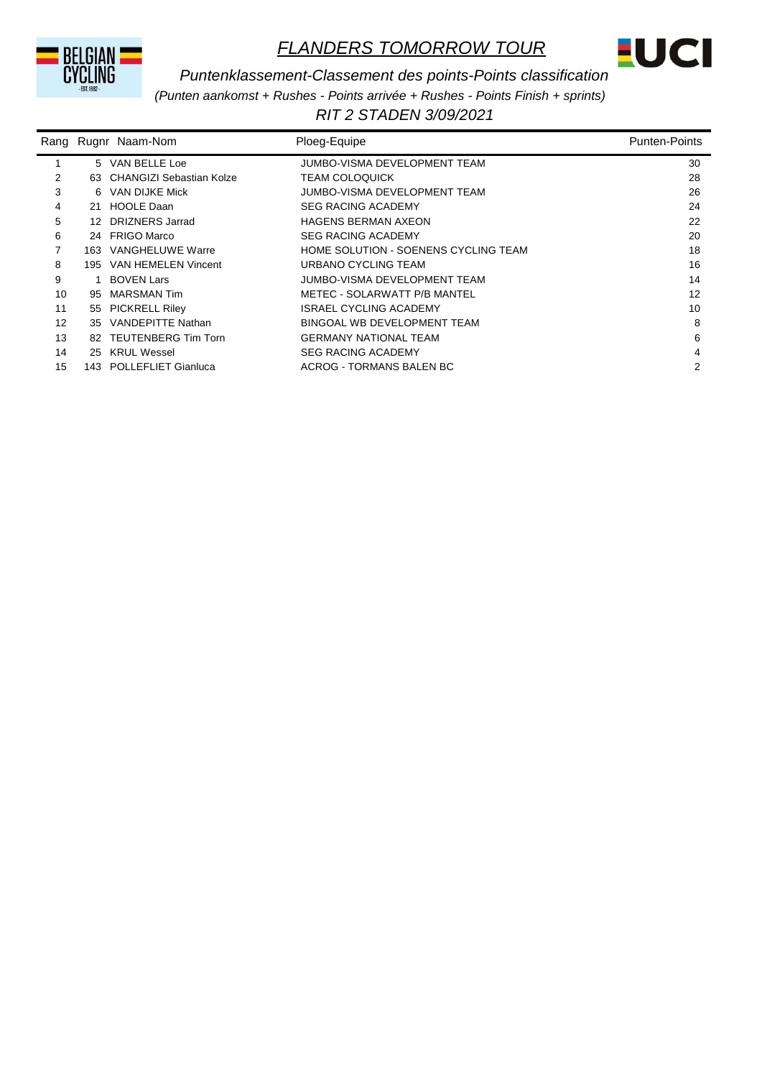



#### *Puntenklassement-Classement des points-Points classification*

*(Punten aankomst + Rushes - Points arrivée + Rushes - Points Finish + sprints)*

*RIT 2 STADEN 3/09/2021* 

| Rang |     | Rugnr Naam-Nom              | Ploeg-Equipe                         | <b>Punten-Points</b> |
|------|-----|-----------------------------|--------------------------------------|----------------------|
|      |     | 5 VAN BELLE Loe             | JUMBO-VISMA DEVELOPMENT TEAM         | 30                   |
| 2    |     | 63 CHANGIZI Sebastian Kolze | <b>TEAM COLOQUICK</b>                | 28                   |
| 3    |     | 6 VAN DIJKE Mick            | JUMBO-VISMA DEVELOPMENT TEAM         | 26                   |
| 4    |     | 21 HOOLE Daan               | <b>SEG RACING ACADEMY</b>            | 24                   |
| 5    |     | 12 DRIZNERS Jarrad          | <b>HAGENS BERMAN AXEON</b>           | 22                   |
| 6    |     | 24 FRIGO Marco              | <b>SEG RACING ACADEMY</b>            | 20                   |
| 7    | 163 | VANGHELUWE Warre            | HOME SOLUTION - SOENENS CYCLING TEAM | 18                   |
| 8    |     | 195 VAN HEMELEN Vincent     | URBANO CYCLING TEAM                  | 16                   |
| 9    |     | <b>BOVEN Lars</b>           | JUMBO-VISMA DEVELOPMENT TEAM         | 14                   |
| 10   | 95  | MARSMAN Tim                 | METEC - SOLARWATT P/B MANTEL         | 12                   |
| 11   |     | 55 PICKRELL Riley           | ISRAEL CYCLING ACADEMY               | 10                   |
| 12   |     | 35 VANDEPITTE Nathan        | BINGOAL WB DEVELOPMENT TEAM          | 8                    |
| 13   |     | 82 TEUTENBERG Tim Torn      | <b>GERMANY NATIONAL TEAM</b>         | 6                    |
| 14   | 25  | <b>KRUL Wessel</b>          | <b>SEG RACING ACADEMY</b>            | 4                    |
| 15   |     | 143 POLLEFLIET Gianluca     | ACROG - TORMANS BALEN BC             | 2                    |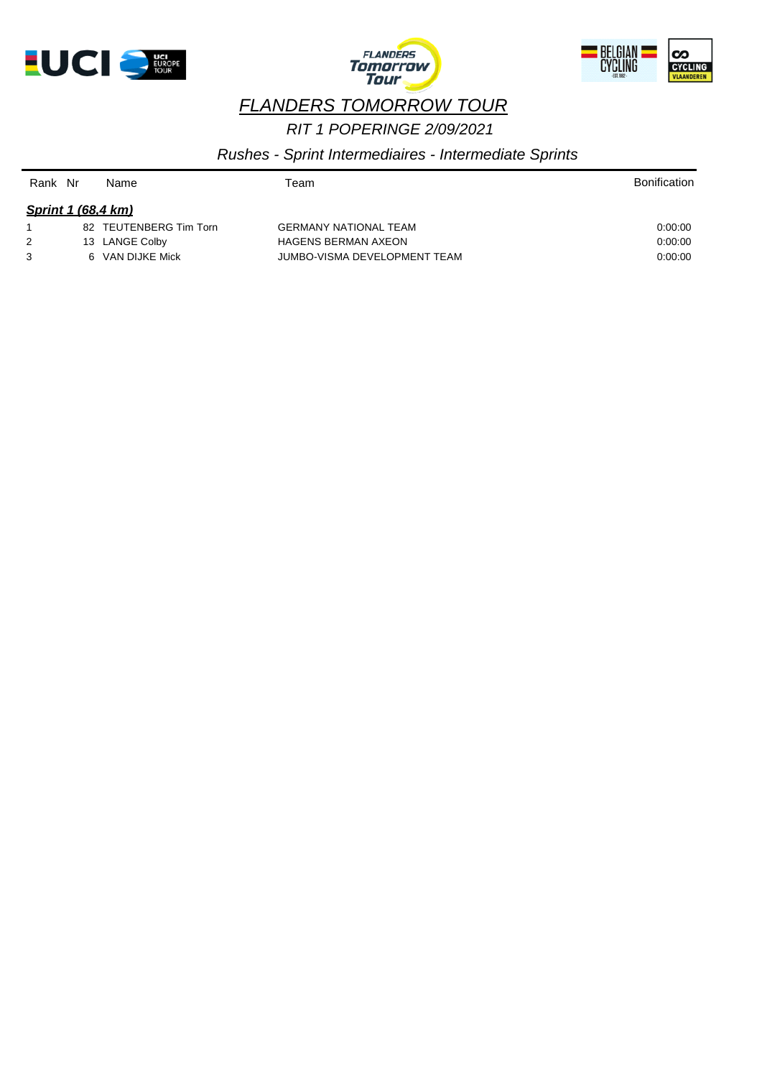





# *RIT 1 POPERINGE 2/09/2021 FLANDERS TOMORROW TOUR*

*Rushes - Sprint Intermediaires - Intermediate Sprints*

| Rank Nr |                           | Name                   | Team                         | <b>Bonification</b> |
|---------|---------------------------|------------------------|------------------------------|---------------------|
|         | <b>Sprint 1 (68,4 km)</b> |                        |                              |                     |
|         |                           | 82 TEUTENBERG Tim Torn | <b>GERMANY NATIONAL TEAM</b> | 0.00.00             |
| 2       |                           | 13 LANGE Colby         | <b>HAGENS BERMAN AXEON</b>   | 0.00.00             |
| 3       |                           | 6 VAN DIJKE Mick       | JUMBO-VISMA DEVELOPMENT TEAM | 0:00:00             |
|         |                           |                        |                              |                     |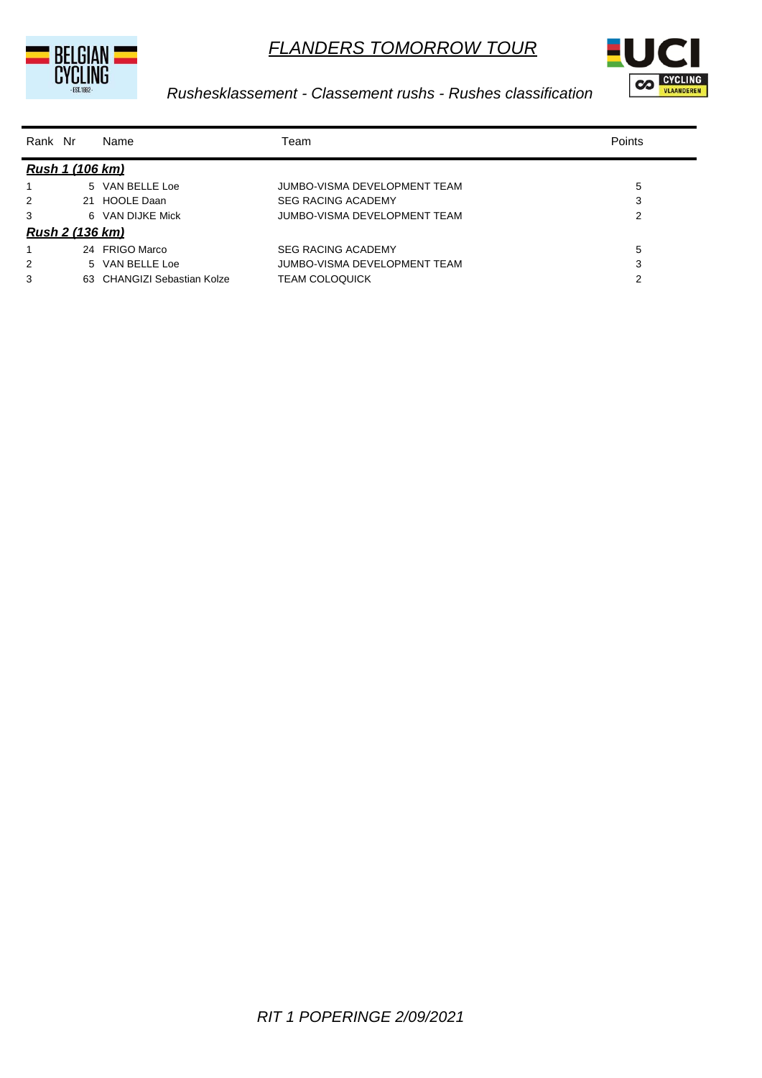



## *Rushesklassement - Classement rushs - Rushes classification*

| Rank Nr |                        | Name                        | Team                         | Points |
|---------|------------------------|-----------------------------|------------------------------|--------|
|         | Rush 1 (106 km)        |                             |                              |        |
|         |                        | 5 VAN BELLE Loe             | JUMBO-VISMA DEVELOPMENT TEAM | 5      |
| 2       |                        | 21 HOOLE Daan               | <b>SEG RACING ACADEMY</b>    | 3      |
| 3       |                        | 6 VAN DIJKE Mick            | JUMBO-VISMA DEVELOPMENT TEAM | 2      |
|         | <u>Rush 2 (136 km)</u> |                             |                              |        |
|         |                        | 24 FRIGO Marco              | <b>SEG RACING ACADEMY</b>    | 5      |
| 2       |                        | 5 VAN BELLE Loe             | JUMBO-VISMA DEVELOPMENT TEAM | 3      |
| 3       |                        | 63 CHANGIZI Sebastian Kolze | <b>TEAM COLOQUICK</b>        | 2      |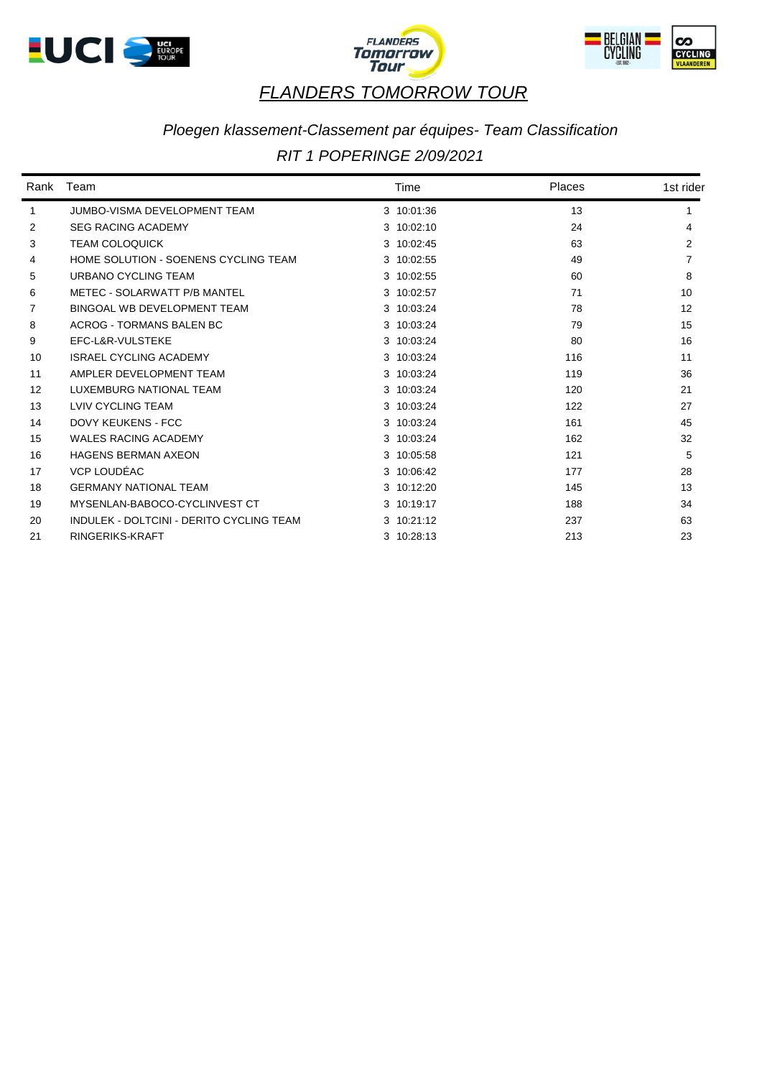





# *Ploegen klassement-Classement par équipes- Team Classification*

## *RIT 1 POPERINGE 2/09/2021*

| Rank | Team                                     | Time       | Places | 1st rider |
|------|------------------------------------------|------------|--------|-----------|
| 1    | <b>JUMBO-VISMA DEVELOPMENT TEAM</b>      | 3 10:01:36 | 13     |           |
| 2    | <b>SEG RACING ACADEMY</b>                | 3 10:02:10 | 24     | 4         |
| 3    | <b>TEAM COLOQUICK</b>                    | 3 10:02:45 | 63     | 2         |
| 4    | HOME SOLUTION - SOENENS CYCLING TEAM     | 3 10:02:55 | 49     |           |
| 5    | URBANO CYCLING TEAM                      | 3 10:02:55 | 60     | 8         |
| 6    | METEC - SOLARWATT P/B MANTEL             | 3 10:02:57 | 71     | 10        |
| 7    | BINGOAL WB DEVELOPMENT TEAM              | 3 10:03:24 | 78     | 12        |
| 8    | <b>ACROG - TORMANS BALEN BC</b>          | 3 10:03:24 | 79     | 15        |
| 9    | EFC-L&R-VULSTEKE                         | 3 10:03:24 | 80     | 16        |
| 10   | <b>ISRAEL CYCLING ACADEMY</b>            | 3 10:03:24 | 116    | 11        |
| 11   | AMPLER DEVELOPMENT TEAM                  | 3 10:03:24 | 119    | 36        |
| 12   | <b>LUXEMBURG NATIONAL TEAM</b>           | 3 10:03:24 | 120    | 21        |
| 13   | LVIV CYCLING TEAM                        | 3 10:03:24 | 122    | 27        |
| 14   | <b>DOVY KEUKENS - FCC</b>                | 3 10:03:24 | 161    | 45        |
| 15   | <b>WALES RACING ACADEMY</b>              | 3 10:03:24 | 162    | 32        |
| 16   | <b>HAGENS BERMAN AXEON</b>               | 3 10:05:58 | 121    | 5         |
| 17   | VCP LOUDÉAC                              | 3 10:06:42 | 177    | 28        |
| 18   | <b>GERMANY NATIONAL TEAM</b>             | 3 10:12:20 | 145    | 13        |
| 19   | MYSENLAN-BABOCO-CYCLINVEST CT            | 3 10:19:17 | 188    | 34        |
| 20   | INDULEK - DOLTCINI - DERITO CYCLING TEAM | 3 10:21:12 | 237    | 63        |
| 21   | RINGERIKS-KRAFT                          | 3 10:28:13 | 213    | 23        |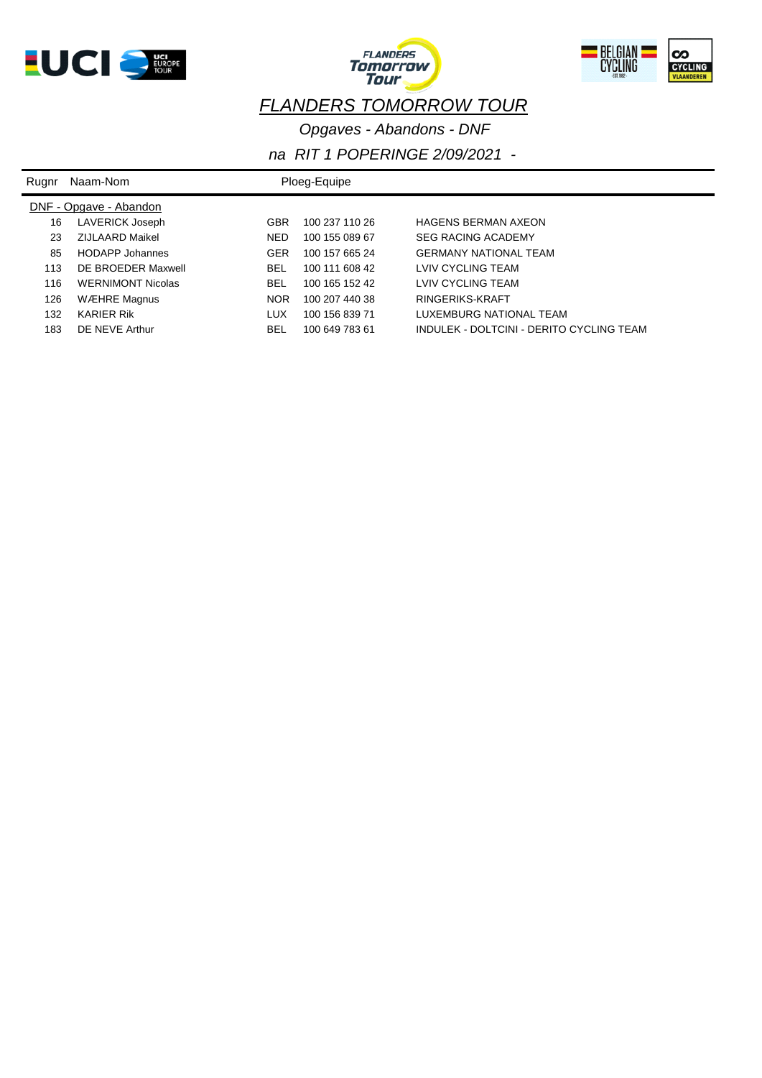





*Opgaves - Abandons - DNF*

| Rugnr | Naam-Nom                 |            | Ploeg-Equipe   |                                          |
|-------|--------------------------|------------|----------------|------------------------------------------|
|       | DNF - Opgave - Abandon   |            |                |                                          |
| 16    | LAVERICK Joseph          | <b>GBR</b> | 100 237 110 26 | <b>HAGENS BERMAN AXEON</b>               |
| 23    | ZIJLAARD Maikel          | <b>NED</b> | 100 155 089 67 | <b>SEG RACING ACADEMY</b>                |
| 85    | <b>HODAPP Johannes</b>   | <b>GER</b> | 100 157 665 24 | <b>GERMANY NATIONAL TEAM</b>             |
| 113   | DE BROEDER Maxwell       | BEL        | 100 111 608 42 | LVIV CYCLING TEAM                        |
| 116   | <b>WERNIMONT Nicolas</b> | <b>BEL</b> | 100 165 152 42 | LVIV CYCLING TEAM                        |
| 126   | <b>WÆHRE Magnus</b>      | <b>NOR</b> | 100 207 440 38 | RINGERIKS-KRAFT                          |
| 132   | <b>KARIER Rik</b>        | LUX        | 100 156 839 71 | LUXEMBURG NATIONAL TEAM                  |
| 183   | DE NEVE Arthur           | BEL        | 100 649 783 61 | INDULEK - DOLTCINI - DERITO CYCLING TEAM |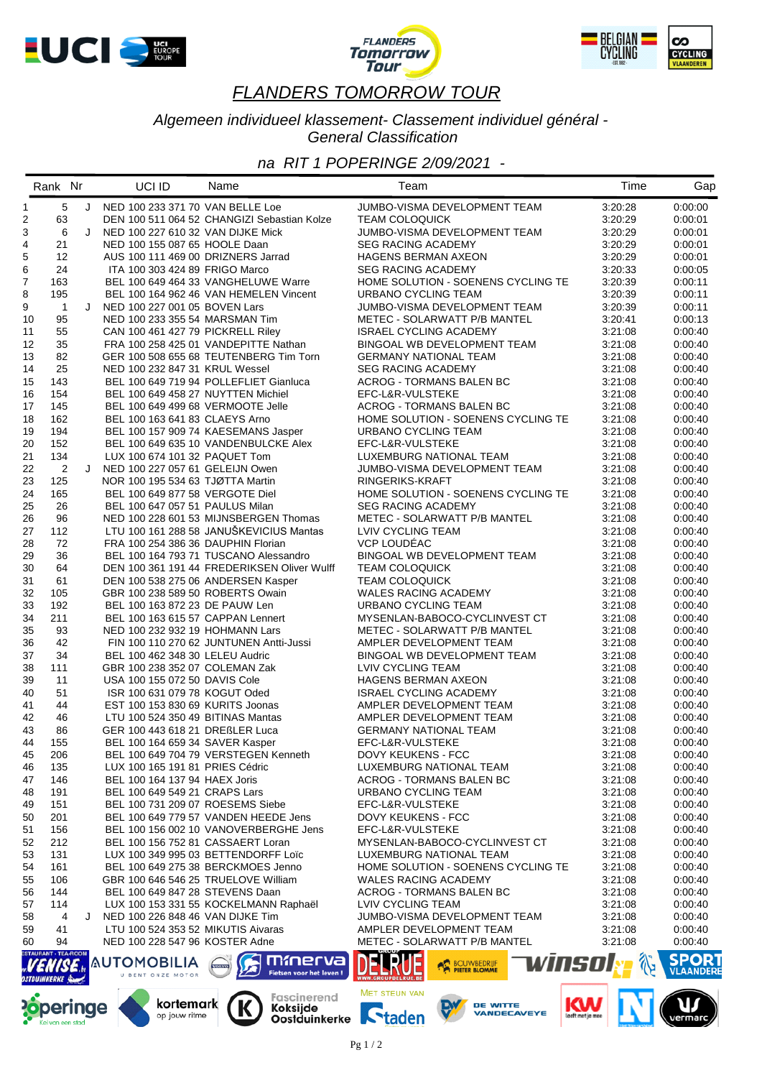





#### *Algemeen individueel klassement- Classement individuel général - General Classification*

## *na RIT 1 POPERINGE 2/09/2021 -*

|                | Rank Nr                     |   | UCI ID                                                             | Name                                        | Team                                           | Time               | Gap                |
|----------------|-----------------------------|---|--------------------------------------------------------------------|---------------------------------------------|------------------------------------------------|--------------------|--------------------|
| $\mathbf{1}$   | 5                           |   | J NED 100 233 371 70 VAN BELLE Loe                                 |                                             | JUMBO-VISMA DEVELOPMENT TEAM                   | 3:20:28            | 0:00:00            |
| 2              | 63                          |   |                                                                    | DEN 100 511 064 52 CHANGIZI Sebastian Kolze | <b>TEAM COLOQUICK</b>                          | 3:20:29            | 0:00:01            |
| 3              | 6                           | J | NED 100 227 610 32 VAN DIJKE Mick                                  |                                             | JUMBO-VISMA DEVELOPMENT TEAM                   | 3:20:29            | 0:00:01            |
| 4              | 21                          |   | NED 100 155 087 65 HOOLE Daan                                      |                                             | <b>SEG RACING ACADEMY</b>                      | 3:20:29            | 0:00:01            |
| 5              | 12                          |   | AUS 100 111 469 00 DRIZNERS Jarrad                                 |                                             | <b>HAGENS BERMAN AXEON</b>                     | 3:20:29            | 0:00:01            |
| 6              | 24                          |   | ITA 100 303 424 89 FRIGO Marco                                     |                                             | <b>SEG RACING ACADEMY</b>                      | 3:20:33            | 0:00:05            |
| $\overline{7}$ | 163                         |   |                                                                    | BEL 100 649 464 33 VANGHELUWE Warre         | HOME SOLUTION - SOENENS CYCLING TE             | 3:20:39            | 0:00:11            |
| 8              | 195                         |   |                                                                    | BEL 100 164 962 46 VAN HEMELEN Vincent      | URBANO CYCLING TEAM                            | 3:20:39            | 0:00:11            |
| 9              | $\overline{1}$              | J | NED 100 227 001 05 BOVEN Lars                                      |                                             | JUMBO-VISMA DEVELOPMENT TEAM                   | 3:20:39            | 0:00:11            |
| 10             | 95                          |   | NED 100 233 355 54 MARSMAN Tim                                     |                                             | METEC - SOLARWATT P/B MANTEL                   | 3:20:41            | 0:00:13            |
| 11             | 55                          |   | CAN 100 461 427 79 PICKRELL Riley                                  |                                             | <b>ISRAEL CYCLING ACADEMY</b>                  | 3:21:08            | 0:00:40            |
| 12             | 35                          |   |                                                                    | FRA 100 258 425 01 VANDEPITTE Nathan        | BINGOAL WB DEVELOPMENT TEAM                    | 3:21:08            | 0:00:40            |
| 13             | 82                          |   |                                                                    | GER 100 508 655 68 TEUTENBERG Tim Torn      | <b>GERMANY NATIONAL TEAM</b>                   | 3:21:08            | 0:00:40            |
| 14             | 25                          |   | NED 100 232 847 31 KRUL Wessel                                     |                                             | <b>SEG RACING ACADEMY</b>                      | 3:21:08            | 0:00:40            |
| 15             | 143                         |   |                                                                    | BEL 100 649 719 94 POLLEFLIET Gianluca      | ACROG - TORMANS BALEN BC                       | 3:21:08            | 0:00:40            |
| 16             | 154                         |   | BEL 100 649 458 27 NUYTTEN Michiel                                 |                                             | EFC-L&R-VULSTEKE                               | 3:21:08            | 0:00:40            |
| 17             | 145                         |   | BEL 100 649 499 68 VERMOOTE Jelle                                  |                                             | ACROG - TORMANS BALEN BC                       | 3:21:08            | 0:00:40            |
| 18             | 162                         |   | BEL 100 163 641 83 CLAEYS Arno                                     |                                             | HOME SOLUTION - SOENENS CYCLING TE             | 3:21:08            | 0:00:40            |
| 19             | 194                         |   |                                                                    | BEL 100 157 909 74 KAESEMANS Jasper         | URBANO CYCLING TEAM                            | 3:21:08            | 0:00:40            |
| 20             | 152                         |   |                                                                    | BEL 100 649 635 10 VANDENBULCKE Alex        | EFC-L&R-VULSTEKE                               | 3:21:08            | 0:00:40            |
| 21             | 134                         |   | LUX 100 674 101 32 PAQUET Tom                                      |                                             | LUXEMBURG NATIONAL TEAM                        | 3:21:08            | 0:00:40            |
| 22             | 2                           | J | NED 100 227 057 61 GELEIJN Owen                                    |                                             | JUMBO-VISMA DEVELOPMENT TEAM                   | 3:21:08            | 0:00:40            |
| 23             | 125                         |   | NOR 100 195 534 63 TJØTTA Martin                                   |                                             | RINGERIKS-KRAFT                                | 3:21:08            | 0:00:40            |
| 24             | 165                         |   | BEL 100 649 877 58 VERGOTE Diel                                    |                                             | HOME SOLUTION - SOENENS CYCLING TE             | 3:21:08            | 0:00:40            |
| 25             | 26                          |   | BEL 100 647 057 51 PAULUS Milan                                    | NED 100 228 601 53 MIJNSBERGEN Thomas       | <b>SEG RACING ACADEMY</b>                      | 3:21:08            | 0:00:40            |
| 26             | 96<br>112                   |   |                                                                    | LTU 100 161 288 58 JANUŠKEVICIUS Mantas     | METEC - SOLARWATT P/B MANTEL                   | 3:21:08            | 0:00:40            |
| 27<br>28       | 72                          |   | FRA 100 254 386 36 DAUPHIN Florian                                 |                                             | LVIV CYCLING TEAM<br><b>VCP LOUDEAC</b>        | 3:21:08<br>3.21.08 | 0:00:40            |
| 29             | 36                          |   |                                                                    | BEL 100 164 793 71 TUSCANO Alessandro       | BINGOAL WB DEVELOPMENT TEAM                    | 3:21:08            | 0:00:40<br>0:00:40 |
| 30             | 64                          |   |                                                                    | DEN 100 361 191 44 FREDERIKSEN Oliver Wulff |                                                | 3:21:08            | 0:00:40            |
| 31             | 61                          |   | DEN 100 538 275 06 ANDERSEN Kasper                                 |                                             | <b>TEAM COLOQUICK</b><br><b>TEAM COLOQUICK</b> | 3:21:08            | 0:00:40            |
| 32             | 105                         |   |                                                                    |                                             | WALES RACING ACADEMY                           | 3:21:08            |                    |
| 33             | 192                         |   | GBR 100 238 589 50 ROBERTS Owain<br>BEL 100 163 872 23 DE PAUW Len |                                             | URBANO CYCLING TEAM                            | 3.21.08            | 0:00:40<br>0:00:40 |
| 34             | 211                         |   | BEL 100 163 615 57 CAPPAN Lennert                                  |                                             | MYSENLAN-BABOCO-CYCLINVEST CT                  | 3:21:08            | 0:00:40            |
| 35             | 93                          |   | NED 100 232 932 19 HOHMANN Lars                                    |                                             | METEC - SOLARWATT P/B MANTEL                   | 3:21:08            | 0:00:40            |
| 36             | 42                          |   |                                                                    | FIN 100 110 270 62 JUNTUNEN Antti-Jussi     | AMPLER DEVELOPMENT TEAM                        | 3:21:08            | 0:00:40            |
| 37             | 34                          |   | BEL 100 462 348 30 LELEU Audric                                    |                                             | BINGOAL WB DEVELOPMENT TEAM                    | 3:21:08            | 0:00:40            |
| 38             | 111                         |   | GBR 100 238 352 07 COLEMAN Zak                                     |                                             | LVIV CYCLING TEAM                              | 3:21:08            | 0:00:40            |
| 39             | 11                          |   | USA 100 155 072 50 DAVIS Cole                                      |                                             | <b>HAGENS BERMAN AXEON</b>                     | 3:21:08            | 0:00:40            |
| 40             | 51                          |   | ISR 100 631 079 78 KOGUT Oded                                      |                                             | ISRAEL CYCLING ACADEMY                         | 3:21:08            | 0:00:40            |
| 41             | 44                          |   | EST 100 153 830 69 KURITS Joonas                                   |                                             | AMPLER DEVELOPMENT TEAM                        | 3:21:08            | 0:00:40            |
| 42             | 46                          |   | LTU 100 524 350 49 BITINAS Mantas                                  |                                             | AMPLER DEVELOPMENT TEAM                        | 3:21:08            | 0:00:40            |
| 43             | 86                          |   | GER 100 443 618 21 DREßLER Luca                                    |                                             | <b>GERMANY NATIONAL TEAM</b>                   | 3:21:08            | 0:00:40            |
| 44             | 155                         |   | BEL 100 164 659 34 SAVER Kasper                                    |                                             | EFC-L&R-VULSTEKE                               | 3:21:08            | 0:00:40            |
| 45             | 206                         |   |                                                                    | BEL 100 649 704 79 VERSTEGEN Kenneth        | DOVY KEUKENS - FCC                             | 3:21:08            | 0:00:40            |
| 46             | 135                         |   | LUX 100 165 191 81 PRIES Cédric                                    |                                             | LUXEMBURG NATIONAL TEAM                        | 3:21:08            | 0:00:40            |
| 47             | 146                         |   | BEL 100 164 137 94 HAEX Joris                                      |                                             | <b>ACROG - TORMANS BALEN BC</b>                | 3:21:08            | 0:00:40            |
| 48             | 191                         |   | BEL 100 649 549 21 CRAPS Lars                                      |                                             | URBANO CYCLING TEAM                            | 3:21:08            | 0:00:40            |
| 49             | 151                         |   | BEL 100 731 209 07 ROESEMS Siebe                                   |                                             | EFC-L&R-VULSTEKE                               | 3:21:08            | 0:00:40            |
| 50             | 201                         |   |                                                                    | BEL 100 649 779 57 VANDEN HEEDE Jens        | DOVY KEUKENS - FCC                             | 3:21:08            | 0:00:40            |
| 51             | 156                         |   |                                                                    | BEL 100 156 002 10 VANOVERBERGHE Jens       | EFC-L&R-VULSTEKE                               | 3:21:08            | 0:00:40            |
| 52             | 212                         |   | BEL 100 156 752 81 CASSAERT Loran                                  |                                             | MYSENLAN-BABOCO-CYCLINVEST CT                  | 3:21:08            | 0:00:40            |
| 53             | 131                         |   |                                                                    | LUX 100 349 995 03 BETTENDORFF Loïc         | LUXEMBURG NATIONAL TEAM                        | 3:21:08            | 0:00:40            |
| 54             | 161                         |   | BEL 100 649 275 38 BERCKMOES Jenno                                 |                                             | HOME SOLUTION - SOENENS CYCLING TE             | 3:21:08            | 0:00:40            |
| 55             | 106                         |   | GBR 100 646 546 25 TRUELOVE William                                |                                             | <b>WALES RACING ACADEMY</b>                    | 3:21:08            | 0:00:40            |
| 56             | 144                         |   | BEL 100 649 847 28 STEVENS Daan                                    |                                             | <b>ACROG - TORMANS BALEN BC</b>                | 3:21:08            | 0:00:40            |
| 57             | 114                         |   |                                                                    | LUX 100 153 331 55 KOCKELMANN Raphaël       | LVIV CYCLING TEAM                              | 3:21:08            | 0:00:40            |
| 58             | 4                           |   | NED 100 226 848 46 VAN DIJKE Tim                                   |                                             | JUMBO-VISMA DEVELOPMENT TEAM                   | 3:21:08            | 0.00:40            |
| 59             | 41                          |   | LTU 100 524 353 52 MIKUTIS Aivaras                                 |                                             | AMPLER DEVELOPMENT TEAM                        | 3:21:08            | 0.00:40            |
| 60             | 94                          |   | NED 100 228 547 96 KOSTER Adne                                     |                                             | METEC - SOLARWATT P/B MANTEL                   | 3:21:08            | 0.00:40            |
|                | <b>ESTAURANT - TEA-ROOM</b> |   |                                                                    | mmerva                                      |                                                |                    | <b>SPORT</b>       |
|                |                             |   | <b>AUTOMOBILIA</b><br>U BENT ONZE MOTOR                            | <b>VOLVO</b><br>Fietsen voor het leven !    | winsol<br><b>BOUWBEDRUF</b>                    |                    | <b>VLAANDERE</b>   |



kortemark

op jouw ritme

К









**MET STEUN VAN**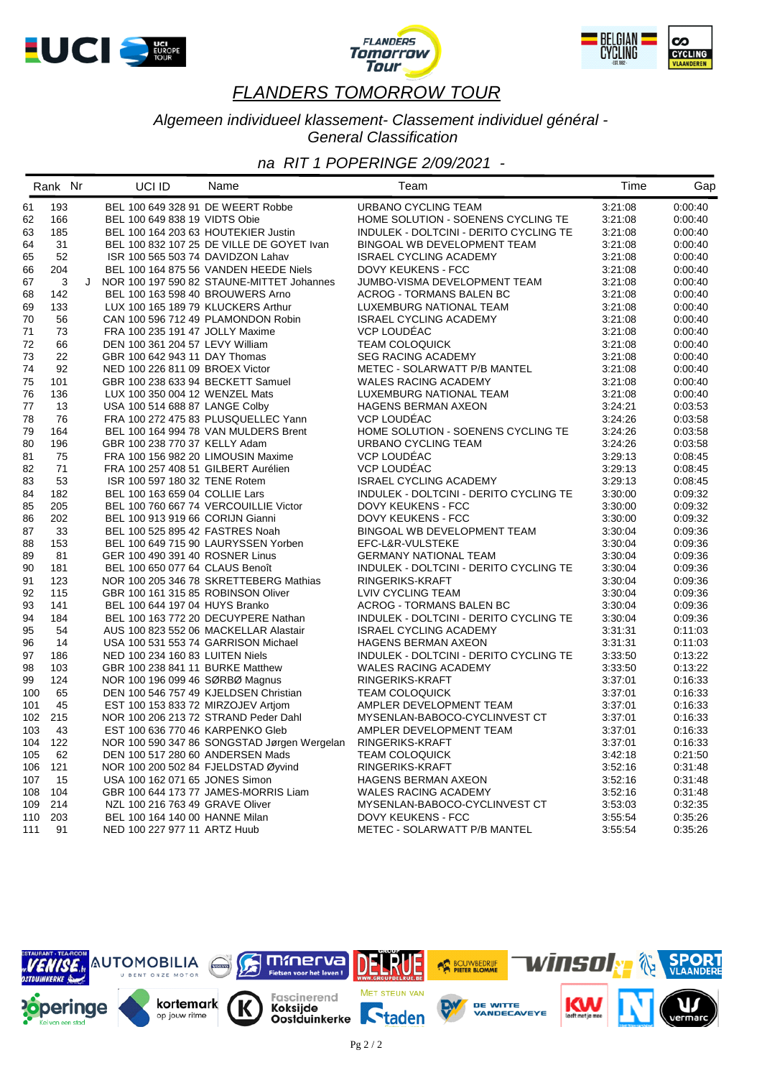





#### *Algemeen individueel klassement- Classement individuel général - General Classification*

|          | Rank Nr    |   | UCI ID                               | Name                                        | Team                                   | Time    | Gap     |
|----------|------------|---|--------------------------------------|---------------------------------------------|----------------------------------------|---------|---------|
| 61       | 193        |   | BEL 100 649 328 91 DE WEERT Robbe    |                                             | URBANO CYCLING TEAM                    | 3:21:08 | 0.00.40 |
| 62       | 166        |   | BEL 100 649 838 19 VIDTS Obie        |                                             | HOME SOLUTION - SOENENS CYCLING TE     | 3:21:08 | 0:00:40 |
| 63       | 185        |   | BEL 100 164 203 63 HOUTEKIER Justin  |                                             | INDULEK - DOLTCINI - DERITO CYCLING TE | 3:21:08 | 0:00:40 |
| 64       | 31         |   |                                      | BEL 100 832 107 25 DE VILLE DE GOYET Ivan   | BINGOAL WB DEVELOPMENT TEAM            | 3:21:08 | 0:00:40 |
| 65       | 52         |   | ISR 100 565 503 74 DAVIDZON Lahav    |                                             | <b>ISRAEL CYCLING ACADEMY</b>          | 3:21:08 | 0:00:40 |
| 66       | 204        |   |                                      | BEL 100 164 875 56 VANDEN HEEDE Niels       | DOVY KEUKENS - FCC                     | 3:21:08 | 0:00:40 |
| 67       | 3          | J |                                      | NOR 100 197 590 82 STAUNE-MITTET Johannes   | JUMBO-VISMA DEVELOPMENT TEAM           | 3:21:08 | 0:00:40 |
| 68       | 142        |   | BEL 100 163 598 40 BROUWERS Arno     |                                             | ACROG - TORMANS BALEN BC               | 3:21:08 | 0:00:40 |
| 69       | 133        |   | LUX 100 165 189 79 KLUCKERS Arthur   |                                             | LUXEMBURG NATIONAL TEAM                | 3:21:08 | 0:00:40 |
| 70       | 56         |   |                                      | CAN 100 596 712 49 PLAMONDON Robin          | <b>ISRAEL CYCLING ACADEMY</b>          | 3:21:08 | 0:00:40 |
| 71       | 73         |   | FRA 100 235 191 47 JOLLY Maxime      |                                             | <b>VCP LOUDEAC</b>                     | 3:21:08 | 0:00:40 |
| 72       | 66         |   | DEN 100 361 204 57 LEVY William      |                                             | <b>TEAM COLOQUICK</b>                  | 3:21:08 | 0:00:40 |
| 73       | 22         |   | GBR 100 642 943 11 DAY Thomas        |                                             | <b>SEG RACING ACADEMY</b>              | 3:21:08 | 0:00:40 |
| 74       | 92         |   | NED 100 226 811 09 BROEX Victor      |                                             | METEC - SOLARWATT P/B MANTEL           | 3:21:08 | 0:00:40 |
| 75       | 101        |   | GBR 100 238 633 94 BECKETT Samuel    |                                             | <b>WALES RACING ACADEMY</b>            | 3:21:08 | 0:00:40 |
| 76       | 136        |   | LUX 100 350 004 12 WENZEL Mats       |                                             | LUXEMBURG NATIONAL TEAM                | 3:21:08 | 0:00:40 |
| 77       | 13         |   | USA 100 514 688 87 LANGE Colby       |                                             | HAGENS BERMAN AXEON                    | 3:24:21 | 0:03:53 |
| 78       | 76         |   |                                      | FRA 100 272 475 83 PLUSQUELLEC Yann         | VCP LOUDEAC                            | 3:24:26 | 0:03:58 |
| 79       | 164        |   |                                      | BEL 100 164 994 78 VAN MULDERS Brent        | HOME SOLUTION - SOENENS CYCLING TE     | 3:24:26 | 0:03:58 |
| 80       | 196        |   | GBR 100 238 770 37 KELLY Adam        |                                             | URBANO CYCLING TEAM                    | 3:24:26 | 0:03:58 |
| 81       | 75         |   | FRA 100 156 982 20 LIMOUSIN Maxime   |                                             | VCP LOUDÉAC                            | 3:29:13 | 0:08:45 |
| 82       | 71         |   | FRA 100 257 408 51 GILBERT Aurélien  |                                             | VCP LOUDÉAC                            | 3:29:13 | 0:08:45 |
| 83       | 53         |   | ISR 100 597 180 32 TENE Rotem        |                                             | <b>ISRAEL CYCLING ACADEMY</b>          | 3:29:13 | 0:08:45 |
| 84       | 182        |   | BEL 100 163 659 04 COLLIE Lars       |                                             | INDULEK - DOLTCINI - DERITO CYCLING TE | 3:30:00 | 0:09:32 |
| 85       | 205        |   |                                      | BEL 100 760 667 74 VERCOUILLIE Victor       | DOVY KEUKENS - FCC                     | 3:30:00 | 0:09:32 |
| 86       | 202        |   | BEL 100 913 919 66 CORIJN Gianni     |                                             | DOVY KEUKENS - FCC                     | 3:30:00 | 0:09:32 |
| 87       | 33         |   | BEL 100 525 895 42 FASTRES Noah      |                                             | BINGOAL WB DEVELOPMENT TEAM            | 3:30:04 | 0:09:36 |
| 88       | 153        |   |                                      | BEL 100 649 715 90 LAURYSSEN Yorben         | EFC-L&R-VULSTEKE                       | 3:30:04 | 0:09:36 |
| 89       | 81         |   | GER 100 490 391 40 ROSNER Linus      |                                             | <b>GERMANY NATIONAL TEAM</b>           | 3:30:04 | 0:09:36 |
| 90       | 181        |   | BEL 100 650 077 64 CLAUS Benoît      |                                             | INDULEK - DOLTCINI - DERITO CYCLING TE | 3:30:04 | 0:09:36 |
| 91       | 123        |   |                                      | NOR 100 205 346 78 SKRETTEBERG Mathias      | RINGERIKS-KRAFT                        | 3:30:04 | 0:09:36 |
| 92       | 115        |   | GBR 100 161 315 85 ROBINSON Oliver   |                                             | LVIV CYCLING TEAM                      | 3:30:04 | 0:09:36 |
| 93       | 141        |   | BEL 100 644 197 04 HUYS Branko       |                                             | ACROG - TORMANS BALEN BC               | 3:30:04 | 0:09:36 |
| 94       | 184        |   |                                      | BEL 100 163 772 20 DECUYPERE Nathan         | INDULEK - DOLTCINI - DERITO CYCLING TE | 3:30:04 | 0:09:36 |
| 95       | 54         |   |                                      | AUS 100 823 552 06 MACKELLAR Alastair       | <b>ISRAEL CYCLING ACADEMY</b>          | 3:31:31 | 0:11:03 |
|          | 14         |   | USA 100 531 553 74 GARRISON Michael  |                                             | HAGENS BERMAN AXEON                    | 3:31:31 | 0:11:03 |
| 96<br>97 | 186        |   |                                      |                                             |                                        |         | 0:13:22 |
|          |            |   | NED 100 234 160 83 LUITEN Niels      |                                             | INDULEK - DOLTCINI - DERITO CYCLING TE | 3:33:50 |         |
| 98       | 103<br>124 |   | GBR 100 238 841 11 BURKE Matthew     |                                             | <b>WALES RACING ACADEMY</b>            | 3:33:50 | 0:13:22 |
| 99       |            |   | NOR 100 196 099 46 SØRBØ Magnus      |                                             | RINGERIKS-KRAFT                        | 3:37:01 | 0:16:33 |
| 100      | 65         |   |                                      | DEN 100 546 757 49 KJELDSEN Christian       | <b>TEAM COLOQUICK</b>                  | 3:37:01 | 0:16:33 |
| 101      | 45<br>215  |   | EST 100 153 833 72 MIRZOJEV Artiom   |                                             | AMPLER DEVELOPMENT TEAM                | 3:37:01 | 0:16:33 |
| 102      |            |   | NOR 100 206 213 72 STRAND Peder Dahl |                                             | MYSENLAN-BABOCO-CYCLINVEST CT          | 3:37:01 | 0.16:33 |
| 103      | 43         |   | EST 100 636 770 46 KARPENKO Gleb     |                                             | AMPLER DEVELOPMENT TEAM                | 3:37:01 | 0:16:33 |
| 104      | 122        |   |                                      | NOR 100 590 347 86 SONGSTAD Jørgen Wergelan | RINGERIKS-KRAFT                        | 3:37:01 | 0:16:33 |
| 105      | 62         |   | DEN 100 517 280 60 ANDERSEN Mads     |                                             | <b>TEAM COLOQUICK</b>                  | 3:42:18 | 0:21:50 |
| 106      | 121        |   | NOR 100 200 502 84 FJELDSTAD Øyvind  |                                             | RINGERIKS-KRAFT                        | 3:52:16 | 0:31:48 |
| 107      | 15         |   | USA 100 162 071 65 JONES Simon       |                                             | HAGENS BERMAN AXEON                    | 3:52:16 | 0:31:48 |
| 108      | 104        |   |                                      | GBR 100 644 173 77 JAMES-MORRIS Liam        | WALES RACING ACADEMY                   | 3:52:16 | 0:31:48 |
| 109      | 214        |   | NZL 100 216 763 49 GRAVE Oliver      |                                             | MYSENLAN-BABOCO-CYCLINVEST CT          | 3:53:03 | 0:32:35 |
| 110      | 203        |   | BEL 100 164 140 00 HANNE Milan       |                                             | DOVY KEUKENS - FCC                     | 3:55:54 | 0:35:26 |
| 111      | 91         |   | NED 100 227 977 11 ARTZ Huub         |                                             | METEC - SOLARWATT P/B MANTEL           | 3:55:54 | 0:35:26 |

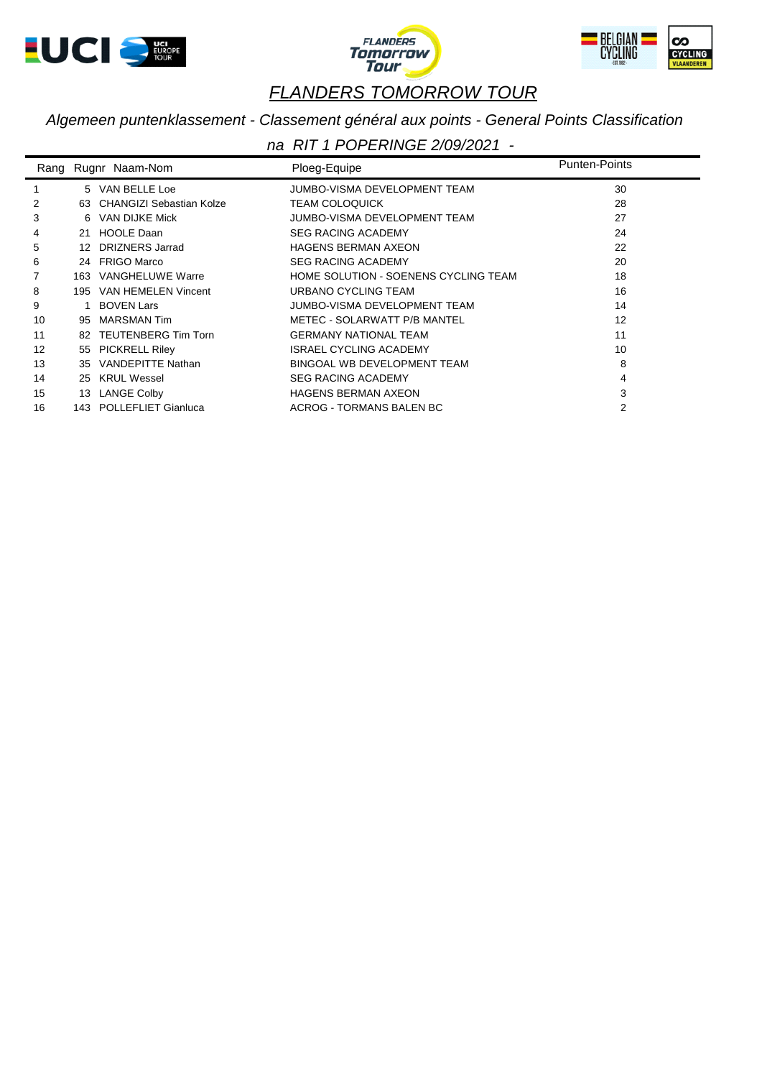





## *Algemeen puntenklassement - Classement général aux points - General Points Classification*

| Rang |     | Rugnr Naam-Nom           | Ploeg-Equipe                         | <b>Punten-Points</b> |
|------|-----|--------------------------|--------------------------------------|----------------------|
|      |     | 5 VAN BELLE Loe          | JUMBO-VISMA DEVELOPMENT TEAM         | 30                   |
| 2    | 63  | CHANGIZI Sebastian Kolze | <b>TEAM COLOQUICK</b>                | 28                   |
| 3    | 6   | VAN DIJKE Mick           | JUMBO-VISMA DEVELOPMENT TEAM         | 27                   |
| 4    |     | 21 HOOLE Daan            | <b>SEG RACING ACADEMY</b>            | 24                   |
| 5    | 12  | <b>DRIZNERS Jarrad</b>   | <b>HAGENS BERMAN AXEON</b>           | 22                   |
| 6    |     | 24 FRIGO Marco           | <b>SEG RACING ACADEMY</b>            | 20                   |
|      | 163 | <b>VANGHELUWE Warre</b>  | HOME SOLUTION - SOENENS CYCLING TEAM | 18                   |
| 8    | 195 | VAN HEMELEN Vincent      | URBANO CYCLING TEAM                  | 16                   |
| 9    |     | <b>BOVEN Lars</b>        | JUMBO-VISMA DEVELOPMENT TEAM         | 14                   |
| 10   | 95  | <b>MARSMAN Tim</b>       | METEC - SOLARWATT P/B MANTEL         | 12                   |
| 11   | 82  | TEUTENBERG Tim Torn      | <b>GERMANY NATIONAL TEAM</b>         | 11                   |
| 12   | 55  | <b>PICKRELL Riley</b>    | ISRAEL CYCLING ACADEMY               | 10                   |
| 13   | 35  | VANDEPITTE Nathan        | BINGOAL WB DEVELOPMENT TEAM          | 8                    |
| 14   | 25  | <b>KRUL Wessel</b>       | <b>SEG RACING ACADEMY</b>            | 4                    |
| 15   |     | 13 LANGE Colby           | <b>HAGENS BERMAN AXEON</b>           | 3                    |
| 16   |     | 143 POLLEFLIET Gianluca  | ACROG - TORMANS BALEN BC             | 2                    |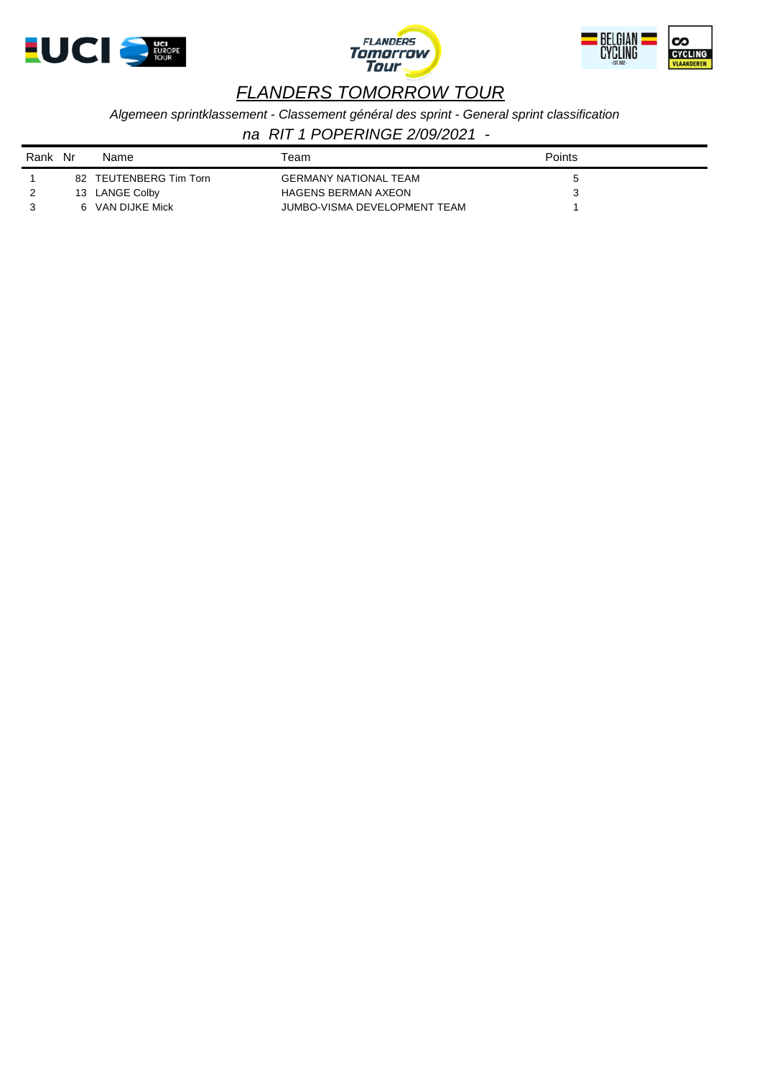





*Algemeen sprintklassement - Classement général des sprint - General sprint classification*

| Rank | Nr | Name                | Геаm                         | Points |
|------|----|---------------------|------------------------------|--------|
|      | 82 | TEUTENBERG Tim Torn | <b>GERMANY NATIONAL TEAM</b> |        |
|      |    | 13 LANGE Colby      | <b>HAGENS BERMAN AXEON</b>   |        |
|      |    | VAN DIJKE Mick      | JUMBO-VISMA DEVELOPMENT TEAM |        |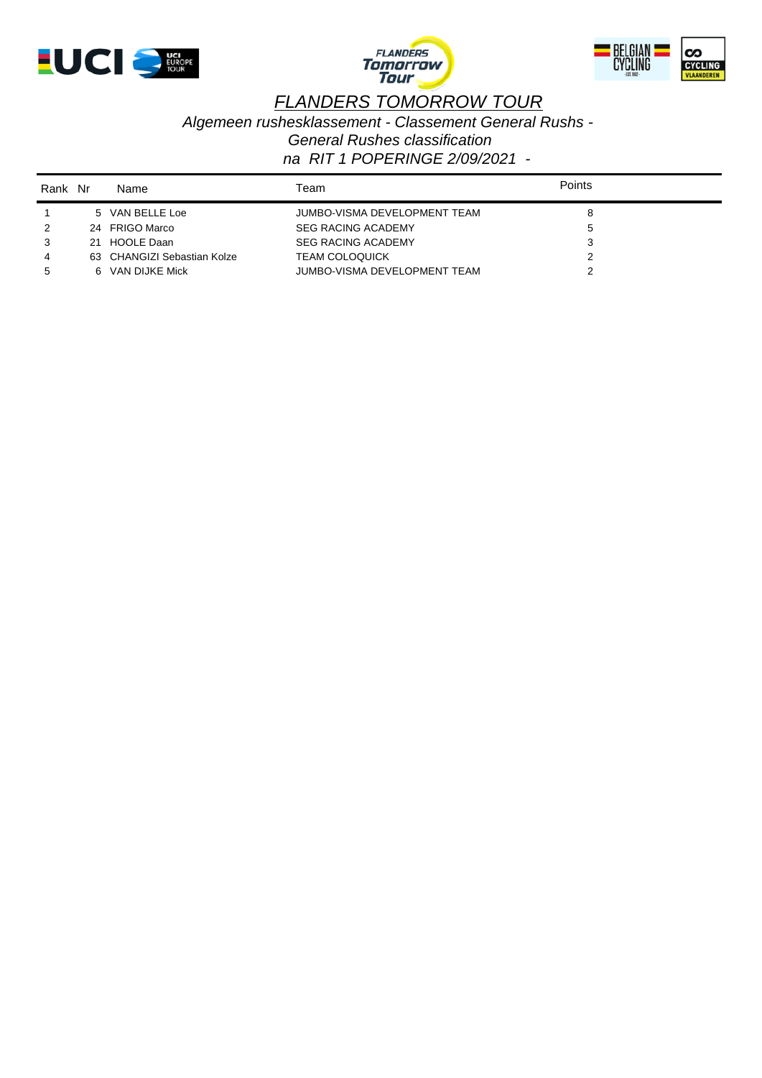





*Algemeen rushesklassement - Classement General Rushs - General Rushes classification*

| Rank Nr |    | Name                        | Геаm                         | <b>Points</b> |  |
|---------|----|-----------------------------|------------------------------|---------------|--|
|         |    | 5 VAN BELLE Loe             | JUMBO-VISMA DEVELOPMENT TEAM | 8             |  |
|         |    | 24 FRIGO Marco              | <b>SEG RACING ACADEMY</b>    | $\mathbf{p}$  |  |
|         | 21 | HOOLE Daan                  | <b>SEG RACING ACADEMY</b>    |               |  |
|         |    | 63 CHANGIZI Sebastian Kolze | <b>TEAM COLOQUICK</b>        |               |  |
|         |    | 6 VAN DIJKE Mick            | JUMBO-VISMA DEVELOPMENT TEAM |               |  |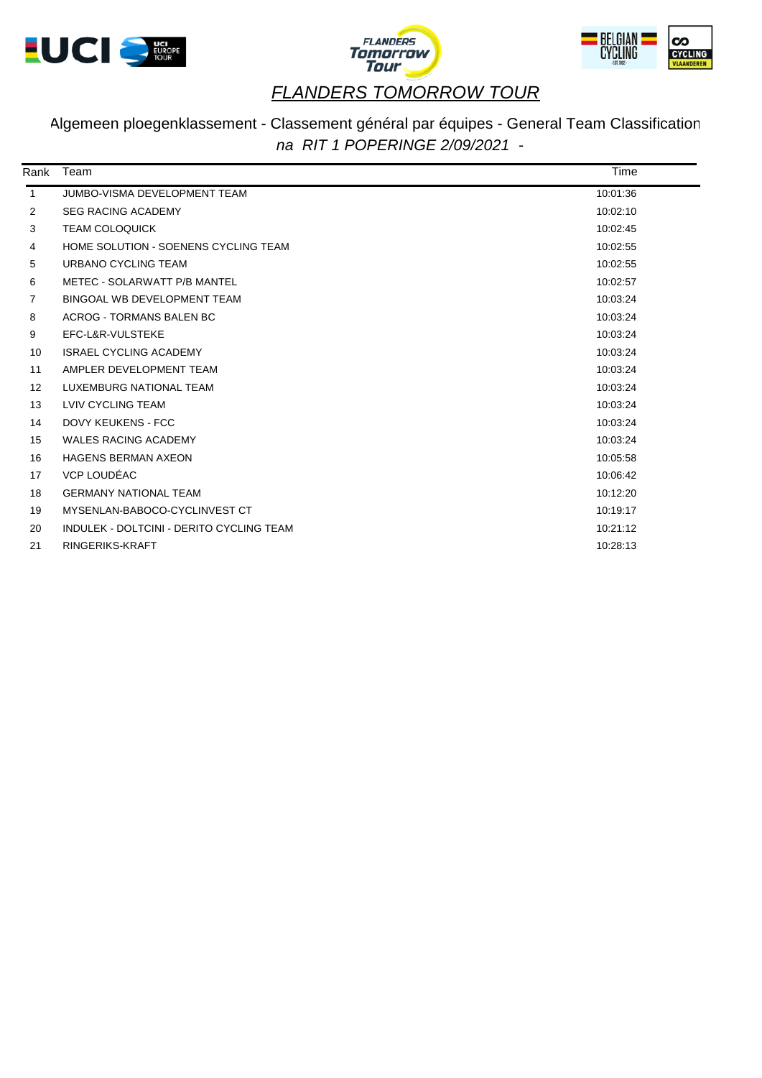





## Algemeen ploegenklassement - Classement général par équipes - General Team Classification *na RIT 1 POPERINGE 2/09/2021 -*

| Rank              | Team                                     | Time     |  |
|-------------------|------------------------------------------|----------|--|
| $\mathbf{1}$      | JUMBO-VISMA DEVELOPMENT TEAM             | 10:01:36 |  |
| 2                 | <b>SEG RACING ACADEMY</b>                | 10:02:10 |  |
| 3                 | <b>TEAM COLOQUICK</b>                    | 10:02:45 |  |
| 4                 | HOME SOLUTION - SOENENS CYCLING TEAM     | 10:02:55 |  |
| 5                 | URBANO CYCLING TEAM                      | 10:02:55 |  |
| 6                 | METEC - SOLARWATT P/B MANTEL             | 10:02:57 |  |
| 7                 | BINGOAL WB DEVELOPMENT TEAM              | 10:03:24 |  |
| 8                 | ACROG - TORMANS BALEN BC                 | 10:03:24 |  |
| 9                 | EFC-L&R-VULSTEKE                         | 10:03:24 |  |
| 10                | <b>ISRAEL CYCLING ACADEMY</b>            | 10:03:24 |  |
| 11                | AMPLER DEVELOPMENT TEAM                  | 10:03:24 |  |
| $12 \overline{ }$ | LUXEMBURG NATIONAL TEAM                  | 10:03:24 |  |
| 13                | LVIV CYCLING TEAM                        | 10:03:24 |  |
| 14                | <b>DOVY KEUKENS - FCC</b>                | 10:03:24 |  |
| 15                | <b>WALES RACING ACADEMY</b>              | 10:03:24 |  |
| 16                | <b>HAGENS BERMAN AXEON</b>               | 10:05:58 |  |
| 17                | VCP LOUDÉAC                              | 10:06:42 |  |
| 18                | <b>GERMANY NATIONAL TEAM</b>             | 10:12:20 |  |
| 19                | MYSENLAN-BABOCO-CYCLINVEST CT            | 10:19:17 |  |
| 20                | INDULEK - DOLTCINI - DERITO CYCLING TEAM | 10:21:12 |  |
| 21                | RINGERIKS-KRAFT                          | 10:28:13 |  |
|                   |                                          |          |  |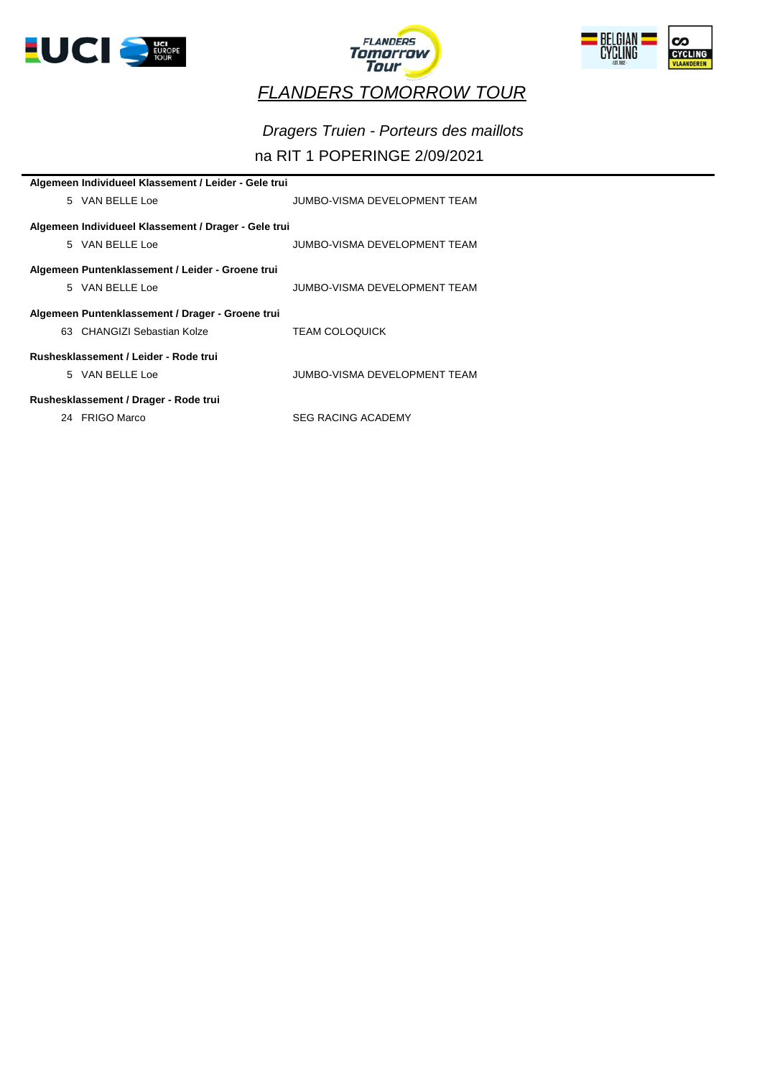





# *Dragers Truien - Porteurs des maillots*

## na RIT 1 POPERINGE 2/09/2021

| Algemeen Individueel Klassement / Leider - Gele trui |                              |
|------------------------------------------------------|------------------------------|
| 5 VAN BELLE Loe                                      | JUMBO-VISMA DEVELOPMENT TEAM |
|                                                      |                              |
| Algemeen Individueel Klassement / Drager - Gele trui |                              |
| 5 VAN BELLE Loe                                      | JUMBO-VISMA DEVELOPMENT TEAM |
|                                                      |                              |
| Algemeen Puntenklassement / Leider - Groene trui     |                              |
| 5 VAN BELLE Loe                                      | JUMBO-VISMA DEVELOPMENT TEAM |
|                                                      |                              |
| Algemeen Puntenklassement / Drager - Groene trui     |                              |
| 63 CHANGIZI Sebastian Kolze                          | <b>TEAM COLOQUICK</b>        |
|                                                      |                              |
| Rushesklassement / Leider - Rode trui                |                              |
| 5 VAN BELLE Loe                                      | JUMBO-VISMA DEVELOPMENT TEAM |
|                                                      |                              |
| Rushesklassement / Drager - Rode trui                |                              |
| 24 FRIGO Marco                                       | <b>SEG RACING ACADEMY</b>    |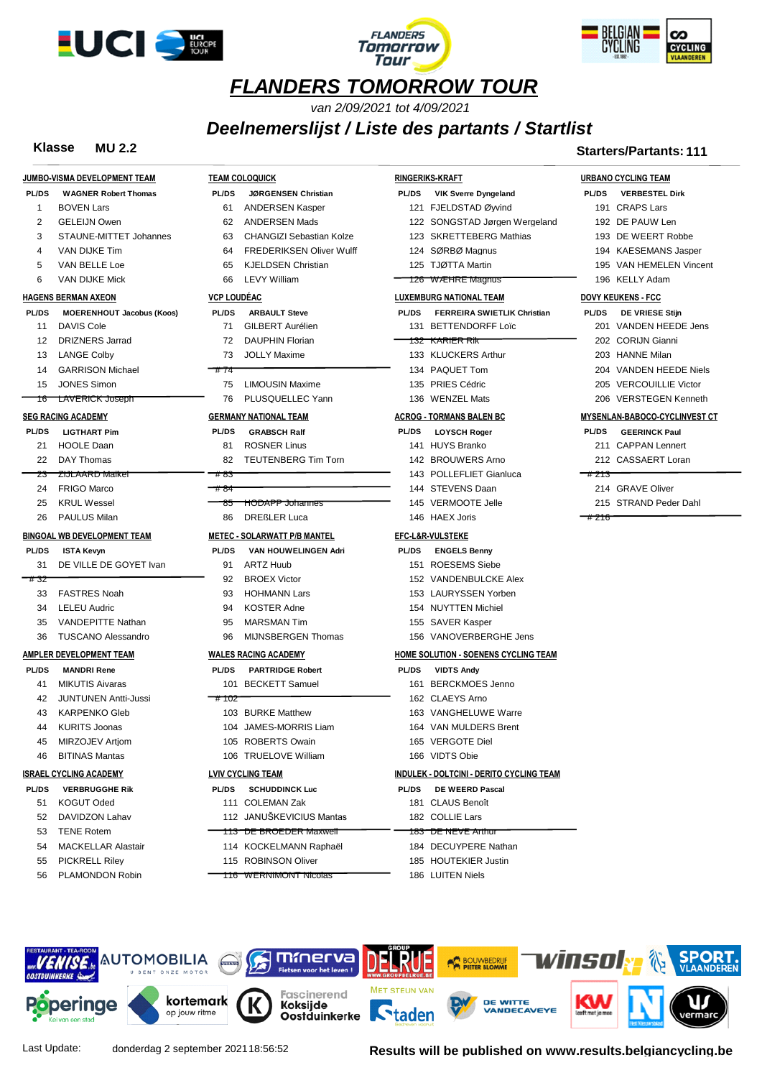





*van 2/09/2021 tot 4/09/2021*

*Deelnemerslijst / Liste des partants / Startlist*

|              | JUMBO-VISMA DEVELOPMENT TEAM     | <b>TEAM C</b>  |
|--------------|----------------------------------|----------------|
|              | PL/DS WAGNER Robert Thomas       | <b>PL/DS</b>   |
| 1            | BOVEN Lars                       | 61             |
| 2            | <b>GELEIJN Owen</b>              | 62             |
| 3            | STAUNE-MITTET Johannes           | 63             |
| 4            | VAN DIJKE Tim                    | 64             |
| 5            | VAN BELLE Loe                    | 65             |
| 6            | <b>VAN DIJKE Mick</b>            | 66             |
|              | <b>HAGENS BERMAN AXEON</b>       | <b>VCP LOI</b> |
| <b>PL/DS</b> | <b>MOERENHOUT Jacobus (Koos)</b> | PL/DS          |
| 11           | <b>DAVIS Cole</b>                | 71             |
| 12           | <b>DRIZNERS Jarrad</b>           | 72             |
| 13           | <b>LANGE Colbv</b>               | 73             |
|              | 14 GARRISON Michael              | #74            |
| 15           | <b>JONES Simon</b>               | 75             |
| 16           | <b>LAVERICK Joseph</b>           | 76             |
|              | <b>SEG RACING ACADEMY</b>        | <b>GERMA</b>   |
| <b>PL/DS</b> | <b>LIGTHART Pim</b>              | <b>PL/DS</b>   |
| 21           | <b>HOOLE Daan</b>                | 81             |
| 22           | DAY Thomas                       | 82             |
| 23           | ZIJLAARD Malkel                  | #83            |
| 24           | <b>FRIGO Marco</b>               | #84            |
| 25           | <b>KRUL Wessel</b>               | 85             |
| 26           | <b>PAULUS Milan</b>              | 86             |
|              | BINGOAL WB DEVELOPMENT TEAM      | <b>METEC</b>   |
| <b>PL/DS</b> | <b>ISTA Kevyn</b>                | PL/DS          |
| 31           | DE VILLE DE GOYET Ivan           | 91             |
| #32          |                                  | 92             |
|              | 33 FASTRES Noah                  | 93             |
|              | 34 LELEU Audric                  | 94             |
| 35           | <b>VANDEPITTE Nathan</b>         | 95             |
| 36           | <b>TUSCANO Alessandro</b>        | 96             |
|              | AMPLER DEVELOPMENT TEAM          | WALES          |
|              | PL/DS MANDRI Rene                | <b>PL/DS</b>   |
|              | 41 MIKUTIS Aivaras               | 101            |
| 42           | <b>JUNTUNEN Antti-Jussi</b>      | # 102          |
| 43           | <b>KARPENKO Gleb</b>             | 103            |
| 44           | <b>KURITS Joonas</b>             | 104            |
| 45           | MIRZOJEV Artjom                  | 105            |
| 46           | <b>BITINAS Mantas</b>            | 106            |
|              | <b>ISRAEL CYCLING ACADEMY</b>    | <b>LVIV CY</b> |
| PL/DS        | <b>VERBRUGGHE Rik</b>            | <b>PL/DS</b>   |
| 51           | <b>KOGUT Oded</b>                | 111            |
| 52           | DAVIDZON Lahav                   | 112            |
| 53           | <b>TENE Rotem</b>                | 113            |
| 54           | <b>MACKELLAR Alastair</b>        | 114            |
| 55           | <b>PICKRELL Riley</b>            | 115            |
| 56           | PLAMONDON Robin                  | 116            |

|      |                                  |                                  |                    |                                     |              | $\frac{1}{2}$                                   |              |                                   |
|------|----------------------------------|----------------------------------|--------------------|-------------------------------------|--------------|-------------------------------------------------|--------------|-----------------------------------|
|      | <b>Klasse</b>                    | <b>MU 2.2</b>                    |                    |                                     |              |                                                 |              | <b>Starters/Partants: 111</b>     |
|      | MBO-VISMA DEVELOPMENT TEAM       |                                  |                    | <b>TEAM COLOQUICK</b>               |              | <b>RINGERIKS-KRAFT</b>                          |              | <b>URBANO CYCLING TEAM</b>        |
| L/DS | <b>WAGNER Robert Thomas</b>      |                                  | <b>PL/DS</b>       | <b>JØRGENSEN Christian</b>          | <b>PL/DS</b> | <b>VIK Sverre Dyngeland</b>                     | <b>PL/DS</b> | <b>VERBESTEL Dirk</b>             |
| 1    | <b>BOVEN Lars</b>                |                                  | 61                 | <b>ANDERSEN Kasper</b>              |              | 121 FJELDSTAD Øyvind                            |              | 191 CRAPS Lars                    |
| 2    | <b>GELEIJN Owen</b>              |                                  | 62                 | <b>ANDERSEN Mads</b>                |              | 122 SONGSTAD Jørgen Wergeland                   |              | 192 DE PAUW Len                   |
| 3    |                                  | STAUNE-MITTET Johannes           | 63                 | <b>CHANGIZI Sebastian Kolze</b>     |              | 123 SKRETTEBERG Mathias                         |              | 193 DE WEERT Robbe                |
| 4    | VAN DIJKE Tim                    |                                  | 64                 | <b>FREDERIKSEN Oliver Wulff</b>     |              | 124 SØRBØ Magnus                                |              | 194 KAESEMANS Jasper              |
| 5    | VAN BELLE Loe                    |                                  | 65                 | <b>KJELDSEN Christian</b>           |              | 125 TJØTTA Martin                               |              | 195 VAN HEMELEN Vince             |
| 6    | VAN DIJKE Mick                   |                                  | 66                 | <b>LEVY William</b>                 |              | 126 WÆHRE Magnus                                |              | 196 KELLY Adam                    |
|      | <b>GENS BERMAN AXEON</b>         |                                  | <b>VCP LOUDÉAC</b> |                                     |              | <b>LUXEMBURG NATIONAL TEAM</b>                  |              | <b>DOVY KEUKENS - FCC</b>         |
| L/DS |                                  | <b>MOERENHOUT Jacobus (Koos)</b> | <b>PL/DS</b>       | <b>ARBAULT Steve</b>                | <b>PL/DS</b> | <b>FERREIRA SWIETLIK Christian</b>              | <b>PL/DS</b> | <b>DE VRIESE Stijn</b>            |
| 11   | <b>DAVIS Cole</b>                |                                  | 71                 | <b>GILBERT Aurélien</b>             |              | 131 BETTENDORFF Loïc                            |              | 201 VANDEN HEEDE Jens             |
| 12   | <b>DRIZNERS Jarrad</b>           |                                  | 72                 | <b>DAUPHIN Florian</b>              |              | 132 KARIER RIK                                  |              | 202 CORIJN Gianni                 |
| 13   | <b>LANGE Colby</b>               |                                  | 73                 | <b>JOLLY Maxime</b>                 |              | 133 KLUCKERS Arthur                             |              | 203 HANNE Milan                   |
| 14   | <b>GARRISON Michael</b>          |                                  | #74                |                                     |              | 134 PAQUET Tom                                  |              | 204 VANDEN HEEDE Niel:            |
| 15   | <b>JONES Simon</b>               |                                  | 75                 | <b>LIMOUSIN Maxime</b>              |              | 135 PRIES Cédric                                |              | 205 VERCOUILLIE Victor            |
| ٦٥   | <b>LAVERICK Joseph</b>           |                                  | 76                 | PLUSQUELLEC Yann                    |              | 136 WENZEL Mats                                 |              | 206 VERSTEGEN Kenneth             |
|      | <b>G RACING ACADEMY</b>          |                                  |                    | <b>GERMANY NATIONAL TEAM</b>        |              | <b>ACROG - TORMANS BALEN BC</b>                 |              | <b>MYSENLAN-BABOCO-CYCLINVEST</b> |
| L/DS | <b>LIGTHART Pim</b>              |                                  | PL/DS              | <b>GRABSCH Ralf</b>                 | <b>PL/DS</b> | <b>LOYSCH Roger</b>                             | <b>PL/DS</b> | <b>GEERINCK Paul</b>              |
| 21   | <b>HOOLE Daan</b>                |                                  | 81                 | <b>ROSNER Linus</b>                 |              | 141 HUYS Branko                                 |              | 211 CAPPAN Lennert                |
| 22   | <b>DAY Thomas</b>                |                                  | 82                 | <b>TEUTENBERG Tim Torn</b>          |              | 142 BROUWERS Arno                               |              | 212 CASSAERT Loran                |
| Z3   | ZIJLAARD Malkel                  |                                  | #83                |                                     |              | 143 POLLEFLIET Gianluca                         | #213         |                                   |
| 24   | <b>FRIGO Marco</b>               |                                  | #84                |                                     |              | 144 STEVENS Daan                                |              | 214 GRAVE Oliver                  |
| 25   | <b>KRUL Wessel</b>               |                                  | 85                 | <b>HODAPP Johannes</b>              |              | 145 VERMOOTE Jelle                              |              | 215 STRAND Peder Dahl             |
| 26   | <b>PAULUS Milan</b>              |                                  | 86                 | <b>DREßLER Luca</b>                 |              | 146 HAEX Joris                                  | #216         |                                   |
|      | <u>NGOAL WB DEVELOPMENT TEAM</u> |                                  |                    | <b>METEC - SOLARWATT P/B MANTEL</b> |              | <b>EFC-L&amp;R-VULSTEKE</b>                     |              |                                   |
| L/DS | <b>ISTA Kevyn</b>                |                                  | <b>PL/DS</b>       | VAN HOUWELINGEN Adri                | <b>PL/DS</b> | <b>ENGELS Benny</b>                             |              |                                   |
| 31   |                                  | DE VILLE DE GOYET Ivan           | 91                 | <b>ARTZ Huub</b>                    |              | 151 ROESEMS Siebe                               |              |                                   |
| 732  |                                  |                                  | 92                 | <b>BROEX Victor</b>                 |              | 152 VANDENBULCKE Alex                           |              |                                   |
| 33   | <b>FASTRES Noah</b>              |                                  | 93                 | <b>HOHMANN Lars</b>                 |              | 153 LAURYSSEN Yorben                            |              |                                   |
| 34   | <b>LELEU Audric</b>              |                                  | 94                 | <b>KOSTER Adne</b>                  |              | 154 NUYTTEN Michiel                             |              |                                   |
| 35   | <b>VANDEPITTE Nathan</b>         |                                  | 95                 | <b>MARSMAN Tim</b>                  |              | 155 SAVER Kasper                                |              |                                   |
| 36   | <b>TUSCANO Alessandro</b>        |                                  | 96                 | MIJNSBERGEN Thomas                  |              | 156 VANOVERBERGHE Jens                          |              |                                   |
|      | <u>IPLER DEVELOPMENT TEAM</u>    |                                  |                    | <b>WALES RACING ACADEMY</b>         |              | <b>HOME SOLUTION - SOENENS CYCLING TEAM</b>     |              |                                   |
| L/DS | <b>MANDRI Rene</b>               |                                  | <b>PL/DS</b>       | <b>PARTRIDGE Robert</b>             | <b>PL/DS</b> | <b>VIDTS Andy</b>                               |              |                                   |
| 41   | <b>MIKUTIS Aivaras</b>           |                                  | 101                | <b>BECKETT Samuel</b>               |              | 161 BERCKMOES Jenno                             |              |                                   |
| 42   | <b>JUNTUNEN Antti-Jussi</b>      |                                  | <del>- # 102</del> |                                     |              | 162 CLAEYS Arno                                 |              |                                   |
| 43   | <b>KARPENKO Gleb</b>             |                                  |                    | 103 BURKE Matthew                   |              | 163 VANGHELUWE Warre                            |              |                                   |
| 44   | <b>KURITS Joonas</b>             |                                  |                    | 104 JAMES-MORRIS Liam               |              | 164 VAN MULDERS Brent                           |              |                                   |
| 45   | MIRZOJEV Artiom                  |                                  |                    | 105 ROBERTS Owain                   |              | 165 VERGOTE Diel                                |              |                                   |
| 46   | <b>BITINAS Mantas</b>            |                                  |                    | 106 TRUELOVE William                |              | 166 VIDTS Obie                                  |              |                                   |
|      | <u>RAEL CYCLING ACADEMY</u>      |                                  |                    | <b>LVIV CYCLING TEAM</b>            |              | <b>INDULEK - DOLTCINI - DERITO CYCLING TEAM</b> |              |                                   |
| L/DS | <b>VERBRUGGHE Rik</b>            |                                  | <b>PL/DS</b>       | <b>SCHUDDINCK Luc</b>               | <b>PL/DS</b> | <b>DE WEERD Pascal</b>                          |              |                                   |
| 51   | KOGUT Oded                       |                                  |                    | 111 COLEMAN Zak                     |              | 181 CLAUS Benoît                                |              |                                   |
| 52   | DAVIDZON Lahav                   |                                  |                    | 112 JANUSKEVICIUS Mantas            |              | 182 COLLIE Lars                                 |              |                                   |
| 53   | <b>TENE Rotem</b>                |                                  |                    | <del>113 DE BROEDER Maxwell</del>   |              | <del>183 DE NEVE Anhur</del>                    |              |                                   |
| 54   | <b>MACKELLAR Alastair</b>        |                                  |                    | 114 KOCKELMANN Raphaël              |              | 184 DECUYPERE Nathan                            |              |                                   |

5 ROBINSON Oliver 6 WERNIMONT Nicolas

| <b>URBANO CYCLING TEAM</b> |                               |  |  |  |  |  |
|----------------------------|-------------------------------|--|--|--|--|--|
|                            | PL/DS VERBESTEL Dirk          |  |  |  |  |  |
|                            | 191 CRAPS Lars                |  |  |  |  |  |
|                            | 192 DE PAUW Len               |  |  |  |  |  |
|                            | 193 DF WEERT Robbe            |  |  |  |  |  |
|                            | 194 KAESEMANS Jasper          |  |  |  |  |  |
|                            | 195 VAN HEMELEN Vincent       |  |  |  |  |  |
|                            | 196 KFLLY Adam                |  |  |  |  |  |
|                            | <b>DOVY KEUKENS - FCC</b>     |  |  |  |  |  |
| <b>PL/DS</b>               | <b>DE VRIESE Stiin</b>        |  |  |  |  |  |
|                            | 201 VANDEN HEEDE Jens         |  |  |  |  |  |
|                            | 202 CORIJN Gianni             |  |  |  |  |  |
|                            | 203 HANNE Milan               |  |  |  |  |  |
|                            | 204 VANDEN HEEDE Niels        |  |  |  |  |  |
|                            | 205 VERCOUILLIE Victor        |  |  |  |  |  |
|                            | 206 VERSTEGEN Kenneth         |  |  |  |  |  |
|                            | MYSENLAN-BABOCO-CYCLINVEST CT |  |  |  |  |  |
| <b>PL/DS</b>               | <b>GEFRINCK Paul</b>          |  |  |  |  |  |
|                            | 211 CAPPAN Lennert            |  |  |  |  |  |
|                            | 212 CASSAERT Loran            |  |  |  |  |  |
| #213                       |                               |  |  |  |  |  |
|                            | 214 GRAVE Oliver              |  |  |  |  |  |
|                            | 215 STRAND Peder Dahl         |  |  |  |  |  |
|                            |                               |  |  |  |  |  |



 HOUTEKIER Justin LUITEN Niels

Last Update: donderdag 2 september 202118:56:52 **Results will be published on www.results.belgiancycling.be**